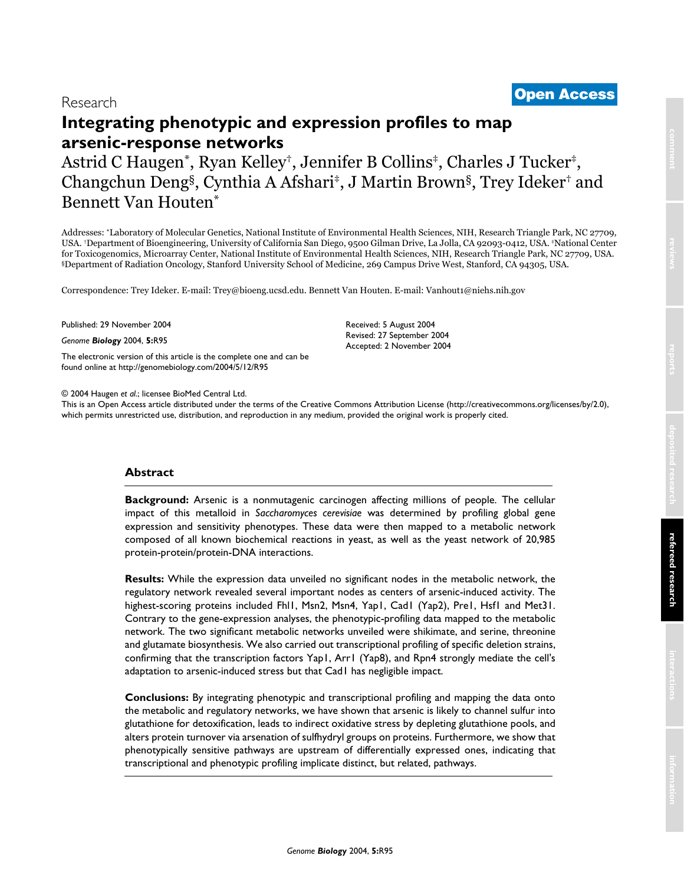# <sup>2004</sup> Haugen et al. Volume 5, Issue 12, Article R95 **[Open Access](http://www.biomedcentral.com/info/about/charter/)** Research

# **Integrating phenotypic and expression profiles to map arsenic-response networks**

Astrid C Haugen\*, Ryan Kelley†, Jennifer B Collins‡, Charles J Tucker‡, Changchun Deng§, Cynthia A Afshari‡, J Martin Brown§, Trey Ideker† and Bennett Van Houten\*

Addresses: \*Laboratory of Molecular Genetics, National Institute of Environmental Health Sciences, NIH, Research Triangle Park, NC 27709, USA. †Department of Bioengineering, University of California San Diego, 9500 Gilman Drive, La Jolla, CA 92093-0412, USA. ‡National Center for Toxicogenomics, Microarray Center, National Institute of Environmental Health Sciences, NIH, Research Triangle Park, NC 27709, USA. §Department of Radiation Oncology, Stanford University School of Medicine, 269 Campus Drive West, Stanford, CA 94305, USA.

> Received: 5 August 2004 Revised: 27 September 2004 Accepted: 2 November 2004

Correspondence: Trey Ideker. E-mail: Trey@bioeng.ucsd.edu. Bennett Van Houten. E-mail: Vanhout1@niehs.nih.gov

Published: 29 November 2004

*Genome Biology* 2004, **5:**R95

[The electronic version of this article is the complete one and can be](http://genomebiology.com/2004/5/12/R95)  found online at http://genomebiology.com/2004/5/12/R95

© 2004 Haugen *et al*.; licensee BioMed Central Ltd.

[This is an Open Access article distributed under the terms of the Creative Commons Attribution License \(http://creativecommons.org/licenses/by/2.0\),]((http://creativecommons.org/licenses/by/2.0))  which permits unrestricted use, distribution, and reproduction in any medium, provided the original work is properly cited.

# **Abstract**

**Background:** Arsenic is a nonmutagenic carcinogen affecting millions of people. The cellular impact of this metalloid in *Saccharomyces cerevisiae* was determined by profiling global gene expression and sensitivity phenotypes. These data were then mapped to a metabolic network composed of all known biochemical reactions in yeast, as well as the yeast network of 20,985 protein-protein/protein-DNA interactions.

**Results:** While the expression data unveiled no significant nodes in the metabolic network, the regulatory network revealed several important nodes as centers of arsenic-induced activity. The highest-scoring proteins included Fhl1, Msn2, Msn4, Yap1, Cad1 (Yap2), Pre1, Hsf1 and Met31. Contrary to the gene-expression analyses, the phenotypic-profiling data mapped to the metabolic network. The two significant metabolic networks unveiled were shikimate, and serine, threonine and glutamate biosynthesis. We also carried out transcriptional profiling of specific deletion strains, confirming that the transcription factors Yap1, Arr1 (Yap8), and Rpn4 strongly mediate the cell's adaptation to arsenic-induced stress but that Cad1 has negligible impact.

**Conclusions:** By integrating phenotypic and transcriptional profiling and mapping the data onto the metabolic and regulatory networks, we have shown that arsenic is likely to channel sulfur into glutathione for detoxification, leads to indirect oxidative stress by depleting glutathione pools, and alters protein turnover via arsenation of sulfhydryl groups on proteins. Furthermore, we show that phenotypically sensitive pathways are upstream of differentially expressed ones, indicating that transcriptional and phenotypic profiling implicate distinct, but related, pathways.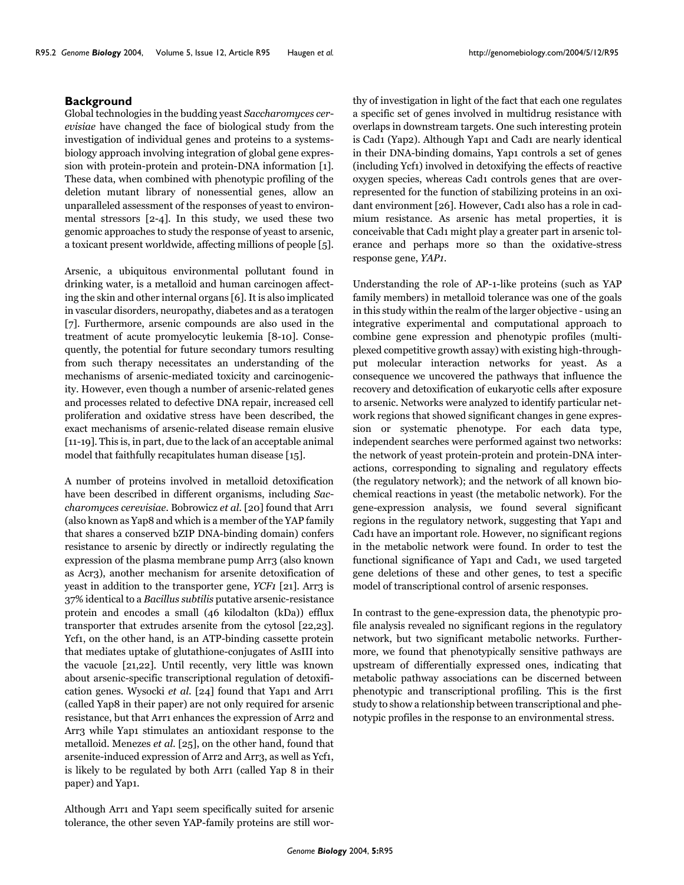### **Background**

Global technologies in the budding yeast *Saccharomyces cerevisiae* have changed the face of biological study from the investigation of individual genes and proteins to a systemsbiology approach involving integration of global gene expression with protein-protein and protein-DNA information [1]. These data, when combined with phenotypic profiling of the deletion mutant library of nonessential genes, allow an unparalleled assessment of the responses of yeast to environmental stressors [[2-](#page-16-0)4]. In this study, we used these two genomic approaches to study the response of yeast to arsenic, a toxicant present worldwide, affecting millions of people [5].

Arsenic, a ubiquitous environmental pollutant found in drinking water, is a metalloid and human carcinogen affecting the skin and other internal organs [6]. It is also implicated in vascular disorders, neuropathy, diabetes and as a teratogen [7]. Furthermore, arsenic compounds are also used in the treatment of acute promyelocytic leukemia [\[8-](#page-16-1)[10](#page-16-2)]. Consequently, the potential for future secondary tumors resulting from such therapy necessitates an understanding of the mechanisms of arsenic-mediated toxicity and carcinogenicity. However, even though a number of arsenic-related genes and processes related to defective DNA repair, increased cell proliferation and oxidative stress have been described, the exact mechanisms of arsenic-related disease remain elusive [11-19]. This is, in part, due to the lack of an acceptable animal model that faithfully recapitulates human disease [15].

A number of proteins involved in metalloid detoxification have been described in different organisms, including *Saccharomyces cerevisiae*. Bobrowicz *et al*. [20] found that Arr1 (also known as Yap8 and which is a member of the YAP family that shares a conserved bZIP DNA-binding domain) confers resistance to arsenic by directly or indirectly regulating the expression of the plasma membrane pump Arr3 (also known as Acr3), another mechanism for arsenite detoxification of yeast in addition to the transporter gene, *YCF1* [21]. Arr<sub>3</sub> is 37% identical to a *Bacillus subtilis* putative arsenic-resistance protein and encodes a small (46 kilodalton (kDa)) efflux transporter that extrudes arsenite from the cytosol [22,23]. Ycf1, on the other hand, is an ATP-binding cassette protein that mediates uptake of glutathione-conjugates of AsIII into the vacuole [21,22]. Until recently, very little was known about arsenic-specific transcriptional regulation of detoxification genes. Wysocki *et al*. [24] found that Yap1 and Arr1 (called Yap8 in their paper) are not only required for arsenic resistance, but that Arr1 enhances the expression of Arr2 and Arr3 while Yap1 stimulates an antioxidant response to the metalloid. Menezes *et al*. [25], on the other hand, found that arsenite-induced expression of Arr2 and Arr3, as well as Ycf1, is likely to be regulated by both Arr1 (called Yap 8 in their paper) and Yap1.

Although Arr1 and Yap1 seem specifically suited for arsenic tolerance, the other seven YAP-family proteins are still worthy of investigation in light of the fact that each one regulates a specific set of genes involved in multidrug resistance with overlaps in downstream targets. One such interesting protein is Cad1 (Yap2). Although Yap1 and Cad1 are nearly identical in their DNA-binding domains, Yap1 controls a set of genes (including Ycf1) involved in detoxifying the effects of reactive oxygen species, whereas Cad1 controls genes that are overrepresented for the function of stabilizing proteins in an oxidant environment [26]. However, Cad1 also has a role in cadmium resistance. As arsenic has metal properties, it is conceivable that Cad1 might play a greater part in arsenic tolerance and perhaps more so than the oxidative-stress response gene, *YAP1*.

Understanding the role of AP-1-like proteins (such as YAP family members) in metalloid tolerance was one of the goals in this study within the realm of the larger objective - using an integrative experimental and computational approach to combine gene expression and phenotypic profiles (multiplexed competitive growth assay) with existing high-throughput molecular interaction networks for yeast. As a consequence we uncovered the pathways that influence the recovery and detoxification of eukaryotic cells after exposure to arsenic. Networks were analyzed to identify particular network regions that showed significant changes in gene expression or systematic phenotype. For each data type, independent searches were performed against two networks: the network of yeast protein-protein and protein-DNA interactions, corresponding to signaling and regulatory effects (the regulatory network); and the network of all known biochemical reactions in yeast (the metabolic network). For the gene-expression analysis, we found several significant regions in the regulatory network, suggesting that Yap1 and Cad1 have an important role. However, no significant regions in the metabolic network were found. In order to test the functional significance of Yap1 and Cad1, we used targeted gene deletions of these and other genes, to test a specific model of transcriptional control of arsenic responses.

In contrast to the gene-expression data, the phenotypic profile analysis revealed no significant regions in the regulatory network, but two significant metabolic networks. Furthermore, we found that phenotypically sensitive pathways are upstream of differentially expressed ones, indicating that metabolic pathway associations can be discerned between phenotypic and transcriptional profiling. This is the first study to show a relationship between transcriptional and phenotypic profiles in the response to an environmental stress.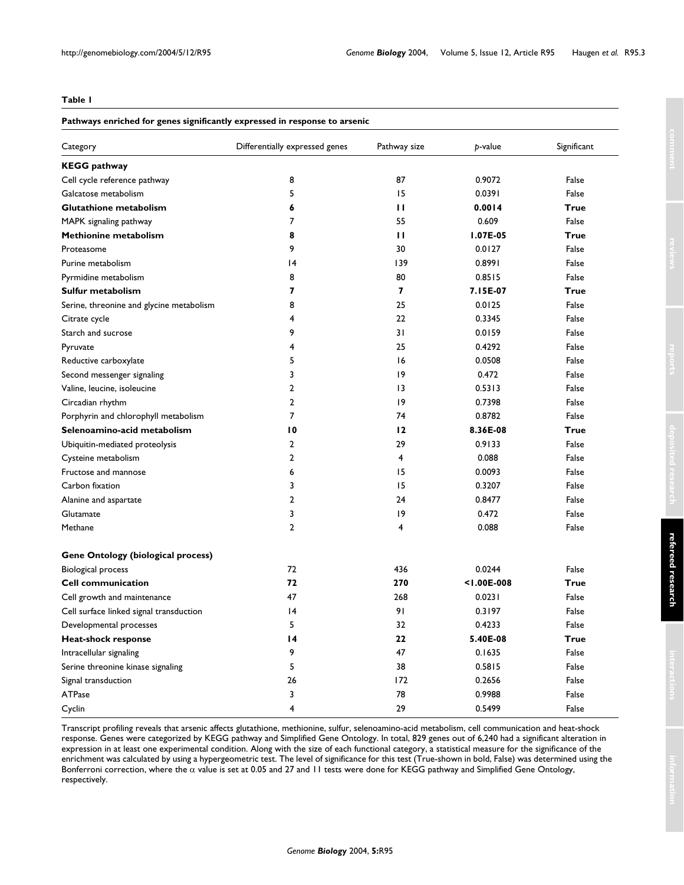#### <span id="page-2-0"></span>**Table 1**

#### **Pathways enriched for genes significantly expressed in response to arsenic**

| Category                                  | Differentially expressed genes | Pathway size            | p-value         | Significant |
|-------------------------------------------|--------------------------------|-------------------------|-----------------|-------------|
| <b>KEGG</b> pathway                       |                                |                         |                 |             |
| Cell cycle reference pathway              | 8                              | 87                      | 0.9072          | False       |
| Galcatose metabolism                      | 5                              | 15                      | 0.0391          | False       |
| <b>Glutathione metabolism</b>             | 6                              | $\mathbf{H}$            | 0.0014          | True        |
| MAPK signaling pathway                    | 7                              | 55                      | 0.609           | False       |
| Methionine metabolism                     | 8                              | $\mathbf{H}$            | I.07E-05        | <b>True</b> |
| Proteasome                                | 9                              | 30                      | 0.0127          | False       |
| Purine metabolism                         | 4                              | 139                     | 0.8991          | False       |
| Pyrmidine metabolism                      | 8                              | 80                      | 0.8515          | False       |
| Sulfur metabolism                         | 7                              | $\overline{\mathbf{z}}$ | 7.15E-07        | <b>True</b> |
| Serine, threonine and glycine metabolism  | 8                              | 25                      | 0.0125          | False       |
| Citrate cycle                             | 4                              | 22                      | 0.3345          | False       |
| Starch and sucrose                        | 9                              | 31                      | 0.0159          | False       |
| Pyruvate                                  | 4                              | 25                      | 0.4292          | False       |
| Reductive carboxylate                     | 5                              | 16                      | 0.0508          | False       |
| Second messenger signaling                | 3                              | 19                      | 0.472           | False       |
| Valine, leucine, isoleucine               | $\overline{2}$                 | $\overline{13}$         | 0.5313          | False       |
| Circadian rhythm                          | $\overline{2}$                 | 9                       | 0.7398          | False       |
| Porphyrin and chlorophyll metabolism      | 7                              | 74                      | 0.8782          | False       |
| Selenoamino-acid metabolism               | 10                             | 12                      | 8.36E-08        | True        |
| Ubiquitin-mediated proteolysis            | $\overline{2}$                 | 29                      | 0.9133          | False       |
| Cysteine metabolism                       | $\overline{2}$                 | 4                       | 0.088           | False       |
| Fructose and mannose                      | 6                              | 15                      | 0.0093          | False       |
| Carbon fixation                           | 3                              | 15                      | 0.3207          | False       |
| Alanine and aspartate                     | $\overline{2}$                 | 24                      | 0.8477          | False       |
| Glutamate                                 | 3                              | 19                      | 0.472           | False       |
| Methane                                   | $\overline{2}$                 | 4                       | 0.088           | False       |
| <b>Gene Ontology (biological process)</b> |                                |                         |                 |             |
| Biological process                        | 72                             | 436                     | 0.0244          | False       |
| <b>Cell communication</b>                 | 72                             | 270                     | $< 1.00E - 008$ | True        |
| Cell growth and maintenance               | 47                             | 268                     | 0.0231          | False       |
| Cell surface linked signal transduction   | 4                              | 91                      | 0.3197          | False       |
| Developmental processes                   | 5                              | 32                      | 0.4233          | False       |
| Heat-shock response                       | $\overline{14}$                | 22                      | 5.40E-08        | <b>True</b> |
| Intracellular signaling                   | 9                              | 47                      | 0.1635          | False       |
| Serine threonine kinase signaling         | 5                              | 38                      | 0.5815          | False       |
| Signal transduction                       | 26                             | 172                     | 0.2656          | False       |
| <b>ATPase</b>                             | 3                              | 78                      | 0.9988          | False       |
| Cyclin                                    | 4                              | 29                      | 0.5499          | False       |

Transcript profiling reveals that arsenic affects glutathione, methionine, sulfur, selenoamino-acid metabolism, cell communication and heat-shock response. Genes were categorized by KEGG pathway and Simplified Gene Ontology. In total, 829 genes out of 6,240 had a significant alteration in expression in at least one experimental condition. Along with the size of each functional category, a statistical measure for the significance of the enrichment was calculated by using a hypergeometric test. The level of significance for this test (True-shown in bold, False) was determined using the Bonferroni correction, where the  $\alpha$  value is set at 0.05 and 27 and 11 tests were done for KEGG pathway and Simplified Gene Ontology, respectively.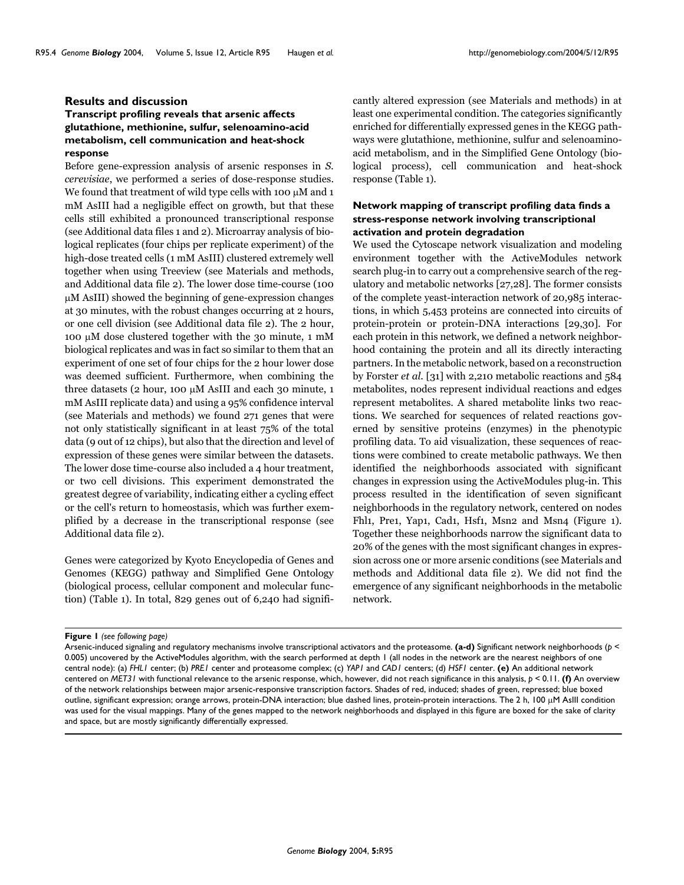#### **Results and discussion**

# **Transcript profiling reveals that arsenic affects glutathione, methionine, sulfur, selenoamino-acid metabolism, cell communication and heat-shock response**

Before gene-expression analysis of arsenic responses in *S. cerevisiae*, we performed a series of dose-response studies. We found that treatment of wild type cells with 100  $\mu$ M and 1 mM AsIII had a negligible effect on growth, but that these cells still exhibited a pronounced transcriptional response (see Additional data files 1 and 2). Microarray analysis of biological replicates (four chips per replicate experiment) of the high-dose treated cells (1 mM AsIII) clustered extremely well together when using Treeview (see Materials and methods, and Additional data file 2). The lower dose time-course (100 µM AsIII) showed the beginning of gene-expression changes at 30 minutes, with the robust changes occurring at 2 hours, or one cell division (see Additional data file 2). The 2 hour, 100 µM dose clustered together with the 30 minute, 1 mM biological replicates and was in fact so similar to them that an experiment of one set of four chips for the 2 hour lower dose was deemed sufficient. Furthermore, when combining the three datasets (2 hour, 100 µM AsIII and each 30 minute, 1 mM AsIII replicate data) and using a 95% confidence interval (see Materials and methods) we found 271 genes that were not only statistically significant in at least 75% of the total data (9 out of 12 chips), but also that the direction and level of expression of these genes were similar between the datasets. The lower dose time-course also included a 4 hour treatment, or two cell divisions. This experiment demonstrated the greatest degree of variability, indicating either a cycling effect or the cell's return to homeostasis, which was further exemplified by a decrease in the transcriptional response (see Additional data file 2).

Genes were categorized by Kyoto Encyclopedia of Genes and Genomes (KEGG) pathway and Simplified Gene Ontology (biological process, cellular component and molecular function) (Table [1](#page-2-0)). In total, 829 genes out of 6,240 had significantly altered expression (see Materials and methods) in at least one experimental condition. The categories significantly enriched for differentially expressed genes in the KEGG pathways were glutathione, methionine, sulfur and selenoaminoacid metabolism, and in the Simplified Gene Ontology (biological process), cell communication and heat-shock response (Table [1\)](#page-2-0).

# **Network mapping of transcript profiling data finds a stress-response network involving transcriptional activation and protein degradation**

We used the Cytoscape network visualization and modeling environment together with the ActiveModules network search plug-in to carry out a comprehensive search of the regulatory and metabolic networks [27,28]. The former consists of the complete yeast-interaction network of 20,985 interactions, in which 5,453 proteins are connected into circuits of protein-protein or protein-DNA interactions [29,30]. For each protein in this network, we defined a network neighborhood containing the protein and all its directly interacting partners. In the metabolic network, based on a reconstruction by Forster *et al*. [31] with 2,210 metabolic reactions and 584 metabolites, nodes represent individual reactions and edges represent metabolites. A shared metabolite links two reactions. We searched for sequences of related reactions governed by sensitive proteins (enzymes) in the phenotypic profiling data. To aid visualization, these sequences of reactions were combined to create metabolic pathways. We then identified the neighborhoods associated with significant changes in expression using the ActiveModules plug-in. This process resulted in the identification of seven significant neighborhoods in the regulatory network, centered on nodes Fhl1, Pre1, Yap1, Cad1, Hsf1, Msn2 and Msn4 (Figure 1). Together these neighborhoods narrow the significant data to 20% of the genes with the most significant changes in expression across one or more arsenic conditions (see Materials and methods and Additional data file 2). We did not find the emergence of any significant neighborhoods in the metabolic network.

Figure 1 (see following page)

Arsenic-induced signaling and regulatory mechanisms involve transcriptional activators and the proteasome. **(a-d)** Significant network neighborhoods (*p* < 0.005) uncovered by the ActiveModules algorithm, with the search performed at depth 1 (all nodes in the network are the nearest neighbors of one central node): (a) *FHL1* center; (b) *PRE1* center and proteasome complex; (c) *YAP1* and *CAD1* centers; (d) *HSF1* center. **(e)** An additional network centered on *MET31* with functional relevance to the arsenic response, which, however, did not reach significance in this analysis, *p* < 0.11. **(f)** An overview of the network relationships between major arsenic-responsive transcription factors. Shades of red, induced; shades of green, repressed; blue boxed outline, significant expression; orange arrows, protein-DNA interaction; blue dashed lines, protein-protein interactions. The 2 h, 100 µM AsIII condition was used for the visual mappings. Many of the genes mapped to the network neighborhoods and displayed in this figure are boxed for the sake of clarity and space, but are mostly significantly differentially expressed.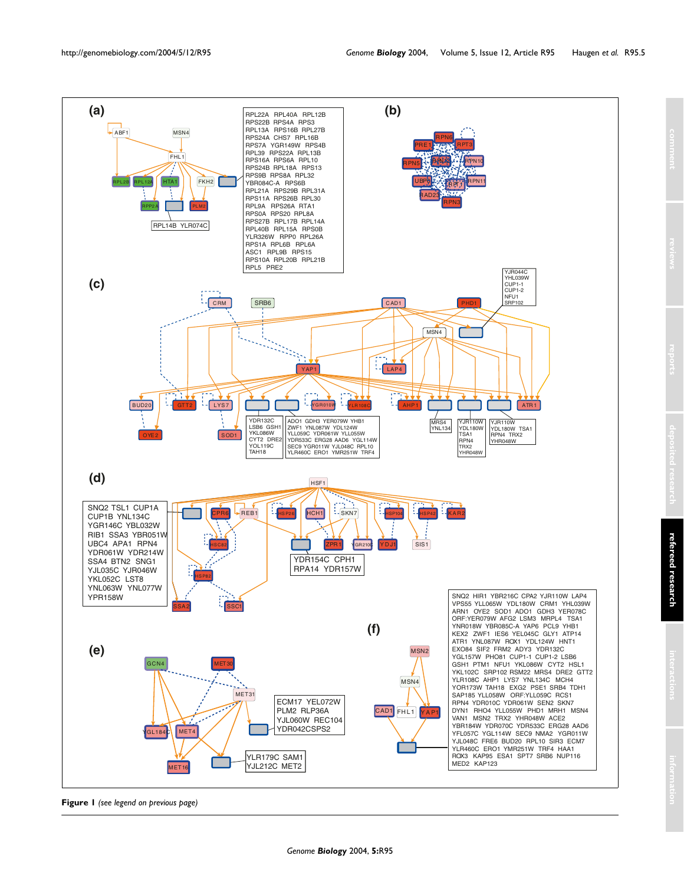

**Figure 1** *(see legend on previous page)*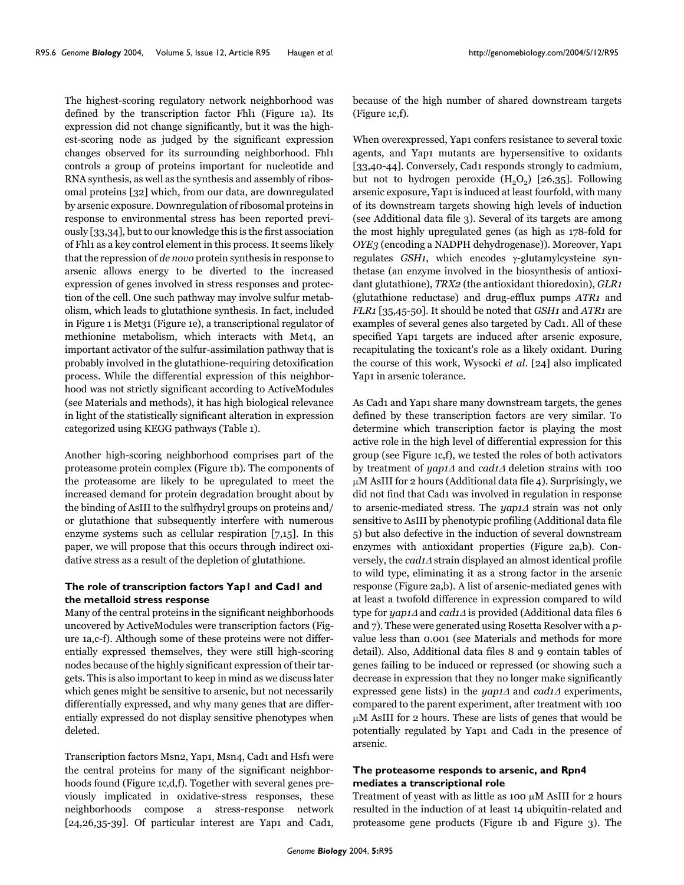The highest-scoring regulatory network neighborhood was defined by the transcription factor Fhl1 (Figure 1a). Its expression did not change significantly, but it was the highest-scoring node as judged by the significant expression changes observed for its surrounding neighborhood. Fhl1 controls a group of proteins important for nucleotide and RNA synthesis, as well as the synthesis and assembly of ribosomal proteins [32] which, from our data, are downregulated by arsenic exposure. Downregulation of ribosomal proteins in response to environmental stress has been reported previously [33,34], but to our knowledge this is the first association of Fhl1 as a key control element in this process. It seems likely that the repression of *de novo* protein synthesis in response to arsenic allows energy to be diverted to the increased expression of genes involved in stress responses and protection of the cell. One such pathway may involve sulfur metabolism, which leads to glutathione synthesis. In fact, included in Figure 1 is Met31 (Figure 1e), a transcriptional regulator of methionine metabolism, which interacts with Met4, an important activator of the sulfur-assimilation pathway that is probably involved in the glutathione-requiring detoxification process. While the differential expression of this neighborhood was not strictly significant according to ActiveModules (see Materials and methods), it has high biological relevance in light of the statistically significant alteration in expression categorized using KEGG pathways (Table [1\)](#page-2-0).

Another high-scoring neighborhood comprises part of the proteasome protein complex (Figure 1b). The components of the proteasome are likely to be upregulated to meet the increased demand for protein degradation brought about by the binding of AsIII to the sulfhydryl groups on proteins and/ or glutathione that subsequently interfere with numerous enzyme systems such as cellular respiration [7,15]. In this paper, we will propose that this occurs through indirect oxidative stress as a result of the depletion of glutathione.

# **The role of transcription factors Yap1 and Cad1 and the metalloid stress response**

Many of the central proteins in the significant neighborhoods uncovered by ActiveModules were transcription factors (Figure 1a,c-f). Although some of these proteins were not differentially expressed themselves, they were still high-scoring nodes because of the highly significant expression of their targets. This is also important to keep in mind as we discuss later which genes might be sensitive to arsenic, but not necessarily differentially expressed, and why many genes that are differentially expressed do not display sensitive phenotypes when deleted.

Transcription factors Msn2, Yap1, Msn4, Cad1 and Hsf1 were the central proteins for many of the significant neighborhoods found (Figure 1c,d,f). Together with several genes previously implicated in oxidative-stress responses, these neighborhoods compose a stress-response network [24,26,35-39]. Of particular interest are Yap1 and Cad1,

because of the high number of shared downstream targets (Figure 1c,f).

When overexpressed, Yap1 confers resistance to several toxic agents, and Yap1 mutants are hypersensitive to oxidants [33,[40](#page-17-0)-44]. Conversely, Cad1 responds strongly to cadmium, but not to hydrogen peroxide  $(H<sub>2</sub>O<sub>2</sub>)$  [26,35]. Following arsenic exposure, Yap1 is induced at least fourfold, with many of its downstream targets showing high levels of induction (see Additional data file 3). Several of its targets are among the most highly upregulated genes (as high as 178-fold for *OYE3* (encoding a NADPH dehydrogenase)). Moreover, Yap1 regulates *GSH1*, which encodes γ-glutamylcysteine synthetase (an enzyme involved in the biosynthesis of antioxidant glutathione), *TRX2* (the antioxidant thioredoxin), *GLR1* (glutathione reductase) and drug-efflux pumps *ATR1* and *FLR1* [35,[45](#page-17-1)-50]. It should be noted that *GSH1* and *ATR1* are examples of several genes also targeted by Cad1. All of these specified Yap1 targets are induced after arsenic exposure, recapitulating the toxicant's role as a likely oxidant. During the course of this work, Wysocki *et al*. [24] also implicated Yap1 in arsenic tolerance.

As Cad1 and Yap1 share many downstream targets, the genes defined by these transcription factors are very similar. To determine which transcription factor is playing the most active role in the high level of differential expression for this group (see Figure 1c,f), we tested the roles of both activators by treatment of *yap1*<sup>∆</sup> and *cad1*<sup>∆</sup> deletion strains with 100 µM AsIII for 2 hours (Additional data file 4). Surprisingly, we did not find that Cad1 was involved in regulation in response to arsenic-mediated stress. The *yap1*<sup>∆</sup> strain was not only sensitive to AsIII by phenotypic profiling (Additional data file 5) but also defective in the induction of several downstream enzymes with antioxidant properties (Figure [2a](#page-6-0),b). Conversely, the *cad1*<sup>∆</sup> strain displayed an almost identical profile to wild type, eliminating it as a strong factor in the arsenic response (Figure [2](#page-6-0)a,b). A list of arsenic-mediated genes with at least a twofold difference in expression compared to wild type for *yap1*<sup>∆</sup> and *cad1*<sup>∆</sup> is provided (Additional data files 6 and 7). These were generated using Rosetta Resolver with a *p*value less than 0.001 (see Materials and methods for more detail). Also, Additional data files 8 and 9 contain tables of genes failing to be induced or repressed (or showing such a decrease in expression that they no longer make significantly expressed gene lists) in the *yap1*<sup>∆</sup> and *cad1*<sup>∆</sup> experiments, compared to the parent experiment, after treatment with 100 µM AsIII for 2 hours. These are lists of genes that would be potentially regulated by Yap1 and Cad1 in the presence of arsenic.

## **The proteasome responds to arsenic, and Rpn4 mediates a transcriptional role**

Treatment of yeast with as little as 100 µM AsIII for 2 hours resulted in the induction of at least 14 ubiquitin-related and proteasome gene products (Figure 1b and Figure 3). The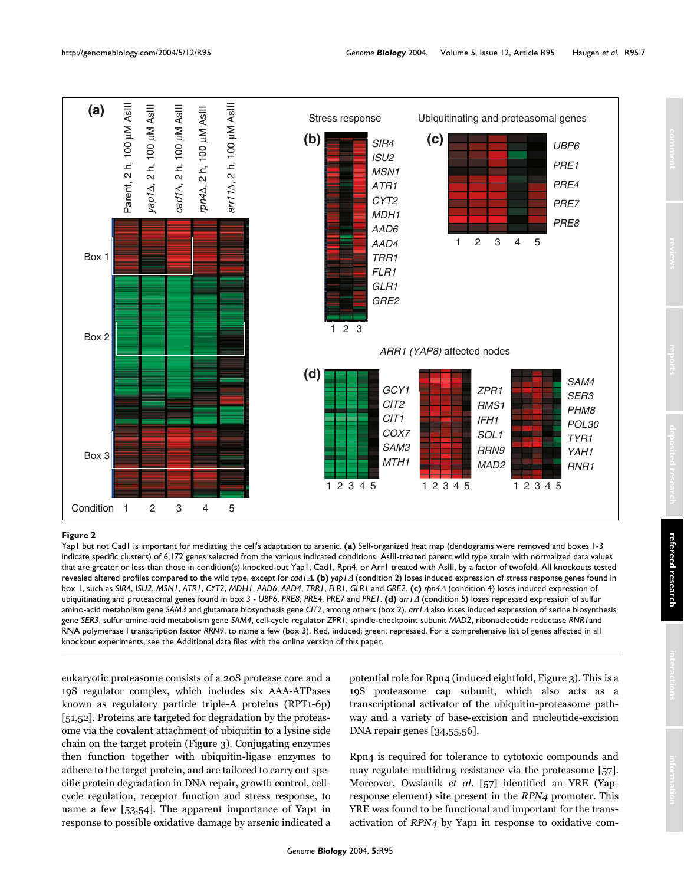<span id="page-6-0"></span>

### $Y$ ap1 is important for mediating the cell  $Y$  adaptation to arbeid  $Y$  and  $Y$  arsenic  $Y$  arsenic  $Y$  arsenic  $Y$  arbeid  $Y$  and  $Y$  arbeid  $Y$  arbeid  $Y$  and  $Y$  arbeid  $Y$  arbeid  $Y$  and  $Y$  arbeid  $Y$  arbeid  $Y$  and

Yap1 but not Cad1 is important for mediating the cell's adaptation to arsenic. **(a)** Self-organized heat map (dendograms were removed and boxes 1-3 indicate specific clusters) of 6,172 genes selected from the various indicated conditions. AsIII-treated parent wild type strain with normalized data values that are greater or less than those in condition(s) knocked-out Yap1, Cad1, Rpn4, or Arr1 treated with AsIII, by a factor of twofold. All knockouts tested revealed altered profiles compared to the wild type, except for *cad1*∆. **(b)** *yap1*<sup>∆</sup> (condition 2) loses induced expression of stress response genes found in box 1, such as SIR4, ISU2, MSN1, ATR1, CYT2, MDH1, AAD6, AAD4, TRR1, FLR1, GLR1 and GRE2. (c) rpn4 $\Delta$  (condition 4) loses induced expression of ubiquitinating and proteasomal genes found in box 3 - *UBP6*, *PRE8*, *PRE4*, *PRE7* and *PRE1*. **(d)** *arr1*<sup>∆</sup> (condition 5) loses repressed expression of sulfur amino-acid metabolism gene *SAM3* and glutamate biosynthesis gene *CIT2*, among others (box 2). *arr1*<sup>∆</sup> also loses induced expression of serine biosynthesis gene *SER3*, sulfur amino-acid metabolism gene *SAM4*, cell-cycle regulator *ZPR1*, spindle-checkpoint subunit *MAD2*, ribonucleotide reductase *RNR1*and RNA polymerase I transcription factor *RRN9*, to name a few (box 3). Red, induced; green, repressed. For a comprehensive list of genes affected in all

eukaryotic proteasome consists of a 20S protease core and a 19S regulator complex, which includes six AAA-ATPases known as regulatory particle triple-A proteins (RPT1-6p) [51,52]. Proteins are targeted for degradation by the proteasome via the covalent attachment of ubiquitin to a lysine side chain on the target protein (Figure 3). Conjugating enzymes then function together with ubiquitin-ligase enzymes to adhere to the target protein, and are tailored to carry out specific protein degradation in DNA repair, growth control, cellcycle regulation, receptor function and stress response, to name a few [53,54]. The apparent importance of Yap1 in response to possible oxidative damage by arsenic indicated a potential role for Rpn4 (induced eightfold, Figure 3). This is a 19S proteasome cap subunit, which also acts as a transcriptional activator of the ubiquitin-proteasome pathway and a variety of base-excision and nucleotide-excision DNA repair genes [34,55,56].

Rpn4 is required for tolerance to cytotoxic compounds and may regulate multidrug resistance via the proteasome [57]. Moreover, Owsianik *et al*. [57] identified an YRE (Yapresponse element) site present in the *RPN4* promoter. This YRE was found to be functional and important for the transactivation of *RPN4* by Yap1 in response to oxidative com-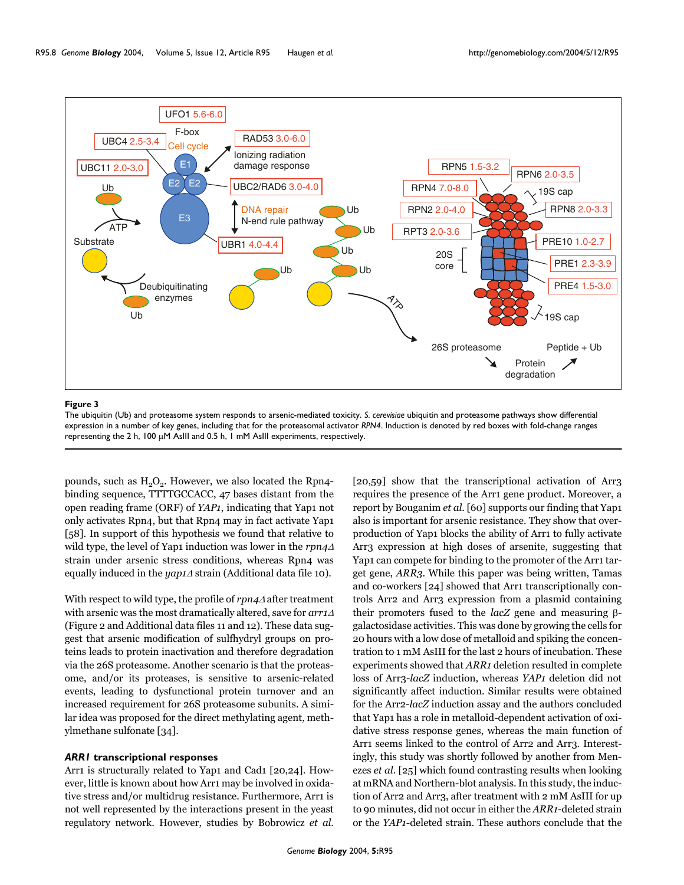

#### The ubiquities  $3$  responds to a respond to a respond to a respond to a respond to a respond to a respond to a respond to  $\alpha$

The ubiquitin (Ub) and proteasome system responds to arsenic-mediated toxicity. *S. cerevisiae* ubiquitin and proteasome pathways show differential expression in a number of key genes, including that for the proteasomal activator *RPN4*. Induction is denoted by red boxes with fold-change ranges representing the 2 h, 100 µM AsIII and 0.5 h, 1 mM AsIII experiments, respectively.

pounds, such as  $H_2O_2$ . However, we also located the Rpn4binding sequence, TTTTGCCACC, 47 bases distant from the open reading frame (ORF) of *YAP1*, indicating that Yap1 not only activates Rpn4, but that Rpn4 may in fact activate Yap1 [58]. In support of this hypothesis we found that relative to wild type, the level of Yap1 induction was lower in the *rpn4*<sup>∆</sup> strain under arsenic stress conditions, whereas Rpn4 was equally induced in the *yap1*<sup>∆</sup> strain (Additional data file 10).

With respect to wild type, the profile of *rpn4*<sup>∆</sup> after treatment with arsenic was the most dramatically altered, save for *arr1*<sup>∆</sup> (Figure [2](#page-6-0) and Additional data files 11 and 12). These data suggest that arsenic modification of sulfhydryl groups on proteins leads to protein inactivation and therefore degradation via the 26S proteasome. Another scenario is that the proteasome, and/or its proteases, is sensitive to arsenic-related events, leading to dysfunctional protein turnover and an increased requirement for 26S proteasome subunits. A similar idea was proposed for the direct methylating agent, methylmethane sulfonate [34].

#### *ARR1* **transcriptional responses**

Arr1 is structurally related to Yap1 and Cad1 [20,24]. However, little is known about how Arr1 may be involved in oxidative stress and/or multidrug resistance. Furthermore, Arr1 is not well represented by the interactions present in the yeast regulatory network. However, studies by Bobrowicz *et al*.

[20,59] show that the transcriptional activation of Arr3 requires the presence of the Arr1 gene product. Moreover, a report by Bouganim *et al*. [60] supports our finding that Yap1 also is important for arsenic resistance. They show that overproduction of Yap1 blocks the ability of Arr1 to fully activate Arr3 expression at high doses of arsenite, suggesting that Yap1 can compete for binding to the promoter of the Arr1 target gene, *ARR3*. While this paper was being written, Tamas and co-workers [24] showed that Arr1 transcriptionally controls Arr2 and Arr3 expression from a plasmid containing their promoters fused to the *lacZ* gene and measuring βgalactosidase activities. This was done by growing the cells for 20 hours with a low dose of metalloid and spiking the concentration to 1 mM AsIII for the last 2 hours of incubation. These experiments showed that *ARR1* deletion resulted in complete loss of Arr3-*lacZ* induction, whereas *YAP1* deletion did not significantly affect induction. Similar results were obtained for the Arr2-*lacZ* induction assay and the authors concluded that Yap1 has a role in metalloid-dependent activation of oxidative stress response genes, whereas the main function of Arr1 seems linked to the control of Arr2 and Arr3. Interestingly, this study was shortly followed by another from Menezes *et al*. [25] which found contrasting results when looking at mRNA and Northern-blot analysis. In this study, the induction of Arr2 and Arr3, after treatment with 2 mM AsIII for up to 90 minutes, did not occur in either the *ARR1*-deleted strain or the *YAP1*-deleted strain. These authors conclude that the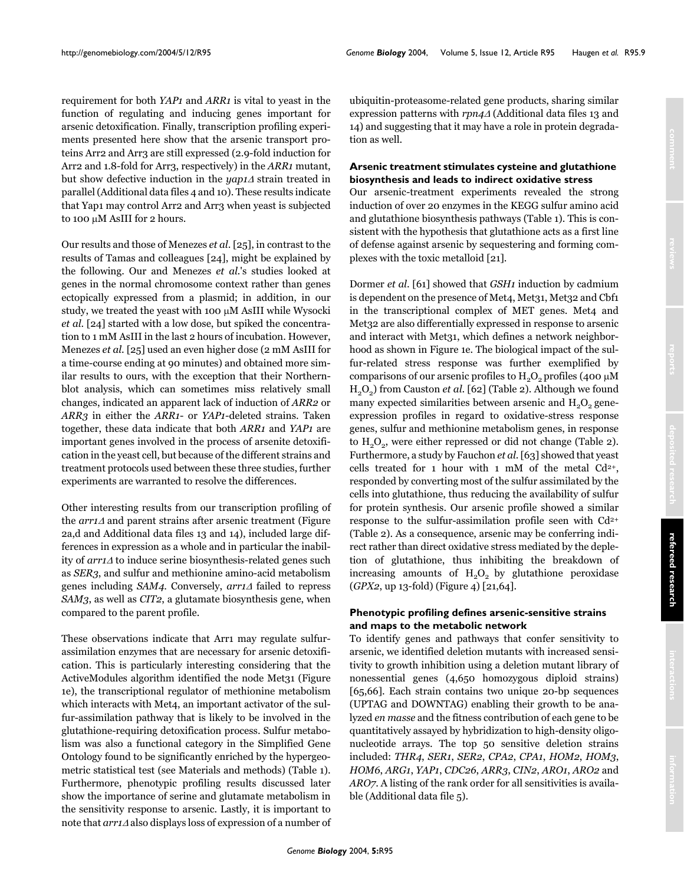requirement for both *YAP1* and *ARR1* is vital to yeast in the function of regulating and inducing genes important for arsenic detoxification. Finally, transcription profiling experiments presented here show that the arsenic transport proteins Arr2 and Arr3 are still expressed (2.9-fold induction for Arr2 and 1.8-fold for Arr3, respectively) in the *ARR1* mutant, but show defective induction in the *yap1*<sup>∆</sup> strain treated in parallel (Additional data files 4 and 10). These results indicate that Yap1 may control Arr2 and Arr3 when yeast is subjected to 100 µM AsIII for 2 hours.

Our results and those of Menezes *et al*. [25], in contrast to the results of Tamas and colleagues [24], might be explained by the following. Our and Menezes *et al.*'s studies looked at genes in the normal chromosome context rather than genes ectopically expressed from a plasmid; in addition, in our study, we treated the yeast with 100 µM AsIII while Wysocki *et al*. [24] started with a low dose, but spiked the concentration to 1 mM AsIII in the last 2 hours of incubation. However, Menezes *et al*. [25] used an even higher dose (2 mM AsIII for a time-course ending at 90 minutes) and obtained more similar results to ours, with the exception that their Northernblot analysis, which can sometimes miss relatively small changes, indicated an apparent lack of induction of *ARR2* or *ARR3* in either the *ARR1*- or *YAP1*-deleted strains. Taken together, these data indicate that both *ARR1* and *YAP1* are important genes involved in the process of arsenite detoxification in the yeast cell, but because of the different strains and treatment protocols used between these three studies, further experiments are warranted to resolve the differences.

Other interesting results from our transcription profiling of the *arr1*<sup>∆</sup> and parent strains after arsenic treatment (Figure [2](#page-6-0)a,d and Additional data files 13 and 14), included large differences in expression as a whole and in particular the inability of *arr1*<sup>∆</sup> to induce serine biosynthesis-related genes such as *SER3*, and sulfur and methionine amino-acid metabolism genes including *SAM4*. Conversely, *arr1*<sup>∆</sup> failed to repress *SAM3*, as well as *CIT2*, a glutamate biosynthesis gene, when compared to the parent profile.

These observations indicate that Arr1 may regulate sulfurassimilation enzymes that are necessary for arsenic detoxification. This is particularly interesting considering that the ActiveModules algorithm identified the node Met31 (Figure 1e), the transcriptional regulator of methionine metabolism which interacts with Met<sub>4</sub>, an important activator of the sulfur-assimilation pathway that is likely to be involved in the glutathione-requiring detoxification process. Sulfur metabolism was also a functional category in the Simplified Gene Ontology found to be significantly enriched by the hypergeometric statistical test (see Materials and methods) (Table [1](#page-2-0)). Furthermore, phenotypic profiling results discussed later show the importance of serine and glutamate metabolism in the sensitivity response to arsenic. Lastly, it is important to note that *arr1*<sup>∆</sup> also displays loss of expression of a number of ubiquitin-proteasome-related gene products, sharing similar expression patterns with *rpn4*<sup>∆</sup> (Additional data files 13 and 14) and suggesting that it may have a role in protein degradation as well.

### **Arsenic treatment stimulates cysteine and glutathione biosynthesis and leads to indirect oxidative stress**

Our arsenic-treatment experiments revealed the strong induction of over 20 enzymes in the KEGG sulfur amino acid and glutathione biosynthesis pathways (Table [1](#page-2-0)). This is consistent with the hypothesis that glutathione acts as a first line of defense against arsenic by sequestering and forming complexes with the toxic metalloid [21].

Dormer *et al*. [61] showed that *GSH1* induction by cadmium is dependent on the presence of Met<sub>4</sub>, Met<sub>31</sub>, Met<sub>32</sub> and Cbf1 in the transcriptional complex of MET genes. Met4 and Met32 are also differentially expressed in response to arsenic and interact with Met31, which defines a network neighborhood as shown in Figure 1e. The biological impact of the sulfur-related stress response was further exemplified by comparisons of our arsenic profiles to  $H_2O_2$  profiles (400 µM H2O2) from Causton *et al*. [62] (Table [2](#page-10-0)). Although we found many expected similarities between arsenic and  $H<sub>2</sub>O<sub>2</sub>$  geneexpression profiles in regard to oxidative-stress response genes, sulfur and methionine metabolism genes, in response to  $H<sub>2</sub>O<sub>2</sub>$  $H<sub>2</sub>O<sub>2</sub>$  $H<sub>2</sub>O<sub>2</sub>$ , were either repressed or did not change (Table 2). Furthermore, a study by Fauchon *et al*. [63] showed that yeast cells treated for 1 hour with 1 mM of the metal  $Cd^{2+}$ , responded by converting most of the sulfur assimilated by the cells into glutathione, thus reducing the availability of sulfur for protein synthesis. Our arsenic profile showed a similar response to the sulfur-assimilation profile seen with Cd2+ (Table [2\)](#page-10-0). As a consequence, arsenic may be conferring indirect rather than direct oxidative stress mediated by the depletion of glutathione, thus inhibiting the breakdown of increasing amounts of  $H<sub>2</sub>O<sub>2</sub>$  by glutathione peroxidase (*GPX2*, up 13-fold) (Figure [4\)](#page-9-0) [21,64].

# **Phenotypic profiling defines arsenic-sensitive strains and maps to the metabolic network**

To identify genes and pathways that confer sensitivity to arsenic, we identified deletion mutants with increased sensitivity to growth inhibition using a deletion mutant library of nonessential genes (4,650 homozygous diploid strains) [65,66]. Each strain contains two unique 20-bp sequences (UPTAG and DOWNTAG) enabling their growth to be analyzed *en masse* and the fitness contribution of each gene to be quantitatively assayed by hybridization to high-density oligonucleotide arrays. The top 50 sensitive deletion strains included: *THR4*, *SER1*, *SER2*, *CPA2*, *CPA1*, *HOM2*, *HOM3*, *HOM6*, *ARG1*, *YAP1*, *CDC26*, *ARR3*, *CIN2*, *ARO1*, *ARO2* and *ARO7*. A listing of the rank order for all sensitivities is available (Additional data file 5).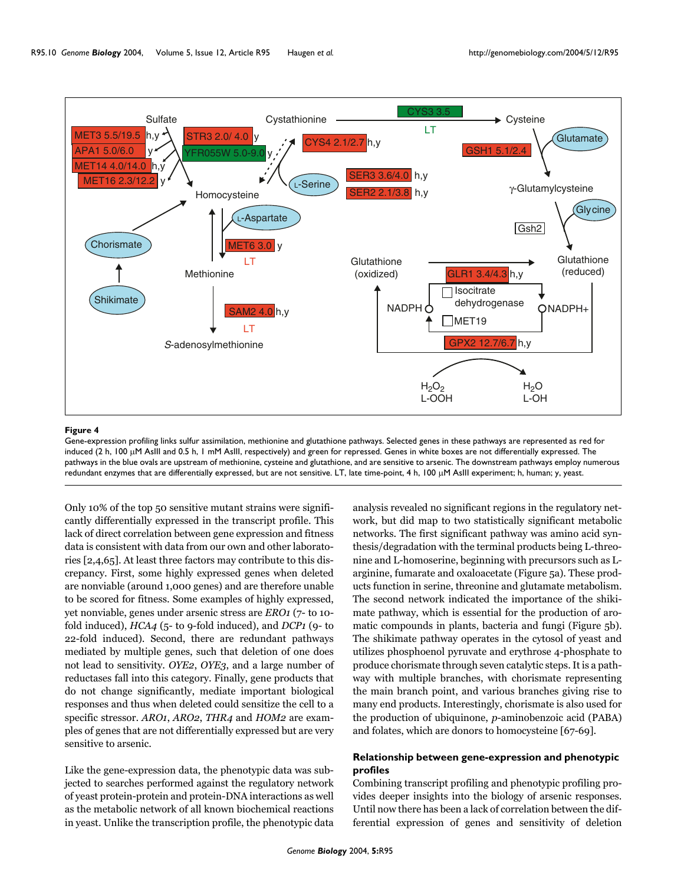<span id="page-9-0"></span>

#### Figure 4

Gene-expression profiling links sulfur assimilation, methionine and glutathione pathways. Selected genes in these pathways are represented as red for induced (2 h, 100 µM AsIII and 0.5 h, 1 mM AsIII, respectively) and green for repressed. Genes in white boxes are not differentially expressed. The pathways in the blue ovals are upstream of methionine, cysteine and glutathione, and are sensitive to arsenic. The downstream pathways employ numerous redundant enzymes that are differentially expressed, but are not sensitive. LT, late time-point, 4 h, 100 µM AsIII experiment; h, human; y, yeast.

Only 10% of the top 50 sensitive mutant strains were significantly differentially expressed in the transcript profile. This lack of direct correlation between gene expression and fitness data is consistent with data from our own and other laboratories [[2](#page-16-0),4,65]. At least three factors may contribute to this discrepancy. First, some highly expressed genes when deleted are nonviable (around 1,000 genes) and are therefore unable to be scored for fitness. Some examples of highly expressed, yet nonviable, genes under arsenic stress are *ERO1* (7- to 10 fold induced), *HCA4* (5- to 9-fold induced), and *DCP1* (9- to 22-fold induced). Second, there are redundant pathways mediated by multiple genes, such that deletion of one does not lead to sensitivity. *OYE2*, *OYE3*, and a large number of reductases fall into this category. Finally, gene products that do not change significantly, mediate important biological responses and thus when deleted could sensitize the cell to a specific stressor. *ARO1*, *ARO2*, *THR4* and *HOM2* are examples of genes that are not differentially expressed but are very sensitive to arsenic.

Like the gene-expression data, the phenotypic data was subjected to searches performed against the regulatory network of yeast protein-protein and protein-DNA interactions as well as the metabolic network of all known biochemical reactions in yeast. Unlike the transcription profile, the phenotypic data

analysis revealed no significant regions in the regulatory network, but did map to two statistically significant metabolic networks. The first significant pathway was amino acid synthesis/degradation with the terminal products being L-threonine and L-homoserine, beginning with precursors such as Larginine, fumarate and oxaloacetate (Figure [5a](#page-11-0)). These products function in serine, threonine and glutamate metabolism. The second network indicated the importance of the shikimate pathway, which is essential for the production of aromatic compounds in plants, bacteria and fungi (Figure [5](#page-11-0)b). The shikimate pathway operates in the cytosol of yeast and utilizes phosphoenol pyruvate and erythrose 4-phosphate to produce chorismate through seven catalytic steps. It is a pathway with multiple branches, with chorismate representing the main branch point, and various branches giving rise to many end products. Interestingly, chorismate is also used for the production of ubiquinone, *p*-aminobenzoic acid (PABA) and folates, which are donors to homocysteine [67-69].

# **Relationship between gene-expression and phenotypic profiles**

Combining transcript profiling and phenotypic profiling provides deeper insights into the biology of arsenic responses. Until now there has been a lack of correlation between the differential expression of genes and sensitivity of deletion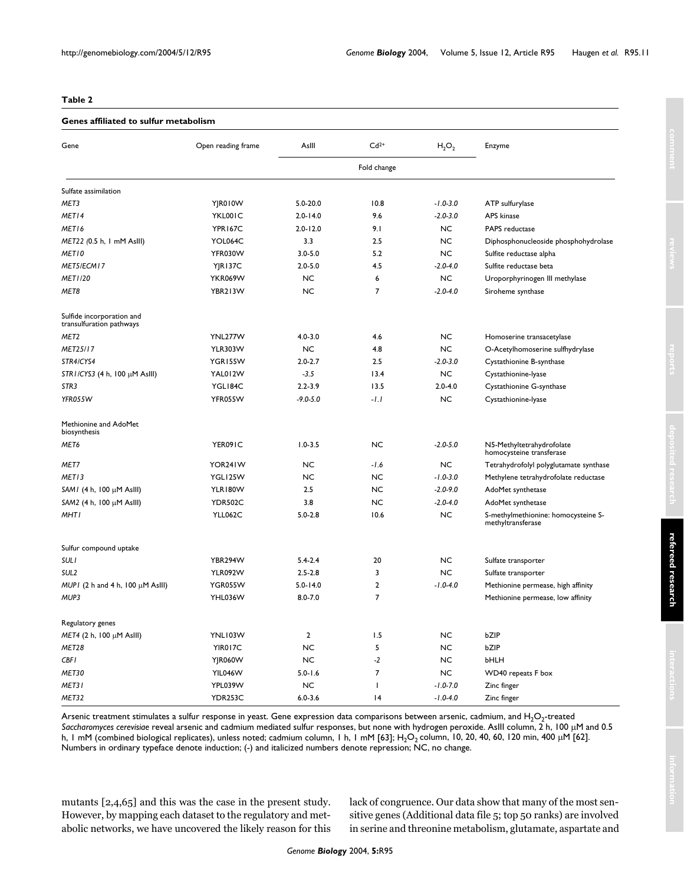#### <span id="page-10-0"></span>**Table 2**

#### **Genes affiliated to sulfur metabolism**

| Gene                                                  | Open reading frame | AsIII          | $Cd2+$                   | $H_2O_2$     | Enzyme                                                   |
|-------------------------------------------------------|--------------------|----------------|--------------------------|--------------|----------------------------------------------------------|
|                                                       |                    | Fold change    |                          |              |                                                          |
| Sulfate assimilation                                  |                    |                |                          |              |                                                          |
| MET3                                                  | YJR010W            | $5.0 - 20.0$   | 10.8                     | $-1.0 - 3.0$ | ATP sulfurylase                                          |
| MET14                                                 | YKL001C            | $2.0 - 14.0$   | 9.6                      | $-2.0 - 3.0$ | APS kinase                                               |
| MET16                                                 | <b>YPR167C</b>     | $2.0 - 12.0$   | 9.1                      | <b>NC</b>    | PAPS reductase                                           |
| MET22 (0.5 h, 1 mM AsIII)                             | YOL064C            | 3.3            | 2.5                      | <b>NC</b>    | Diphosphonucleoside phosphohydrolase                     |
| <b>METIO</b>                                          | YFR030W            | $3.0 - 5.0$    | 5.2                      | <b>NC</b>    | Sulfite reductase alpha                                  |
| MET5/ECM17                                            | <b>YJR137C</b>     | $2.0 - 5.0$    | 4.5                      | $-2.0 - 4.0$ | Sulfite reductase beta                                   |
| MET1/20                                               | <b>YKR069W</b>     | <b>NC</b>      | 6                        | <b>NC</b>    | Uroporphyrinogen III methylase                           |
| MET8                                                  | YBR213W            | <b>NC</b>      | $\overline{7}$           | $-2.0 - 4.0$ | Siroheme synthase                                        |
| Sulfide incorporation and<br>transulfuration pathways |                    |                |                          |              |                                                          |
| MET <sub>2</sub>                                      | YNL277W            | $4.0 - 3.0$    | 4.6                      | <b>NC</b>    | Homoserine transacetylase                                |
| MET25/17                                              | <b>YLR303W</b>     | <b>NC</b>      | 4.8                      | <b>NC</b>    | O-Acetylhomoserine sulfhydrylase                         |
| STR4/CYS4                                             | YGR155W            | $2.0 - 2.7$    | 2.5                      | $-2.0 - 3.0$ | Cystathionine B-synthase                                 |
| STRI/CYS3 (4 h, 100 $\mu$ M AsIII)                    | YAL012W            | $-3.5$         | 13.4                     | <b>NC</b>    | Cystathionine-lyase                                      |
| STR <sub>3</sub>                                      | YGL184C            | $2.2 - 3.9$    | 13.5                     | $2.0 - 4.0$  | Cystathionine G-synthase                                 |
| YFR055W                                               | YFR055W            | $-9.0 - 5.0$   | $-1.1$                   | <b>NC</b>    | Cystathionine-lyase                                      |
| Methionine and AdoMet<br>biosynthesis                 |                    |                |                          |              |                                                          |
| MET6                                                  | YER091C            | $1.0 - 3.5$    | NC                       | $-2.0 - 5.0$ | N5-Methyltetrahydrofolate<br>homocysteine transferase    |
| MET7                                                  | YOR241W            | <b>NC</b>      | -1.6                     | <b>NC</b>    | Tetrahydrofolyl polyglutamate synthase                   |
| MET <sub>13</sub>                                     | YGL125W            | <b>NC</b>      | NC.                      | $-1.0 - 3.0$ | Methylene tetrahydrofolate reductase                     |
| SAM $I$ (4 h, 100 $\mu$ M AsIII)                      | YLR180W            | 2.5            | NC                       | $-2.0 - 9.0$ | AdoMet synthetase                                        |
| SAM2 (4 h, 100 $\mu$ M AsIII)                         | <b>YDR502C</b>     | 3.8            | <b>NC</b>                | $-2.0 - 4.0$ | AdoMet synthetase                                        |
| <b>MHTI</b>                                           | <b>YLL062C</b>     | $5.0 - 2.8$    | 10.6                     | <b>NC</b>    | S-methylmethionine: homocysteine S-<br>methyltransferase |
| Sulfur compound uptake                                |                    |                |                          |              |                                                          |
| <b>SULI</b>                                           | YBR294W            | $5.4 - 2.4$    | 20                       | <b>NC</b>    | Sulfate transporter                                      |
| SUL <sub>2</sub>                                      | <b>YLR092W</b>     | $2.5 - 2.8$    | 3                        | <b>NC</b>    | Sulfate transporter                                      |
| MUPI (2 h and 4 h, 100 $\mu$ M AsIII)                 | YGR055W            | $5.0 - 14.0$   | $\mathbf{2}$             | $-1.0 - 4.0$ | Methionine permease, high affinity                       |
| MUP3                                                  | YHL036W            | $8.0 - 7.0$    | 7                        |              | Methionine permease, low affinity                        |
| Regulatory genes                                      |                    |                |                          |              |                                                          |
| $MET4$ (2 h, 100 µM AsIII)                            | YNL103W            | $\overline{2}$ | 1.5                      | <b>NC</b>    | bZIP                                                     |
| MET28                                                 | YIR017C            | <b>NC</b>      | 5                        | NC           | bZIP                                                     |
| CBF I                                                 | YJR060W            | <b>NC</b>      | $-2$                     | <b>NC</b>    | bHLH                                                     |
| MET30                                                 | YIL046W            | $5.0 - 1.6$    | $\overline{7}$           | <b>NC</b>    | WD40 repeats F box                                       |
| MET31                                                 | YPL039W            | <b>NC</b>      | $\overline{\phantom{a}}$ | $-1.0 - 7.0$ | Zinc finger                                              |
| MET32                                                 | YDR253C            | $6.0 - 3.6$    | 4                        | $-1.0 - 4.0$ | Zinc finger                                              |

Arsenic treatment stimulates a sulfur response in yeast. Gene expression data comparisons between arsenic, cadmium, and  $H_2O_2$ -treated *Saccharomyces cerevisiae* reveal arsenic and cadmium mediated sulfur responses, but none with hydrogen peroxide. AsIII column, 2 h, 100 µM and 0.5 h, 1 mM (combined biological replicates), unless noted; cadmium column, 1 h, 1 mM [63]; H<sub>2</sub>O<sub>2</sub> column, 10, 20, 40, 60, 120 min, 400 µM [62]. Numbers in ordinary typeface denote induction; (-) and italicized numbers denote repression; NC, no change.

mutants [\[2](#page-16-0),4,65] and this was the case in the present study. However, by mapping each dataset to the regulatory and metabolic networks, we have uncovered the likely reason for this lack of congruence. Our data show that many of the most sensitive genes (Additional data file 5; top 50 ranks) are involved in serine and threonine metabolism, glutamate, aspartate and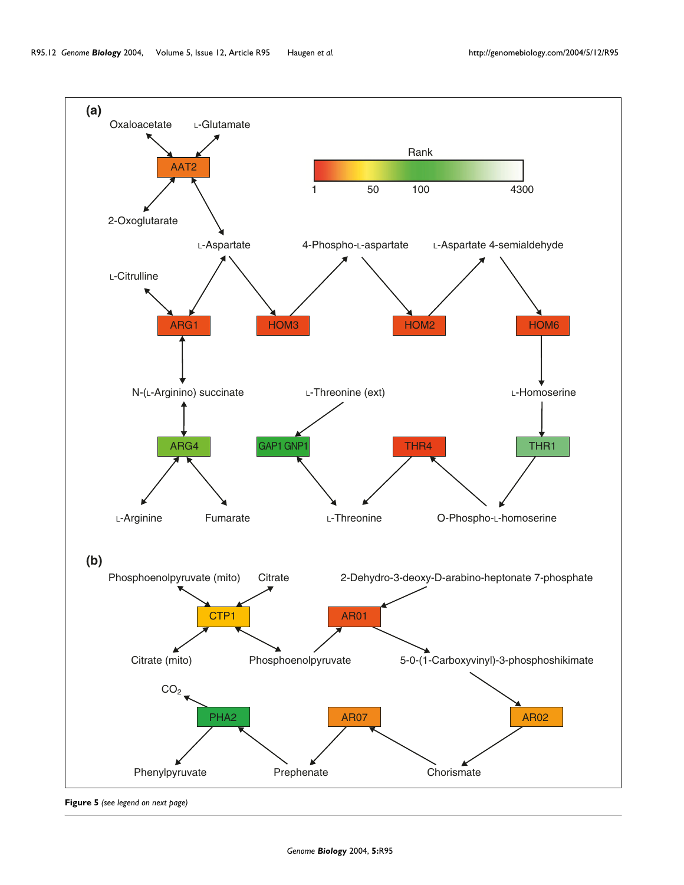<span id="page-11-0"></span>

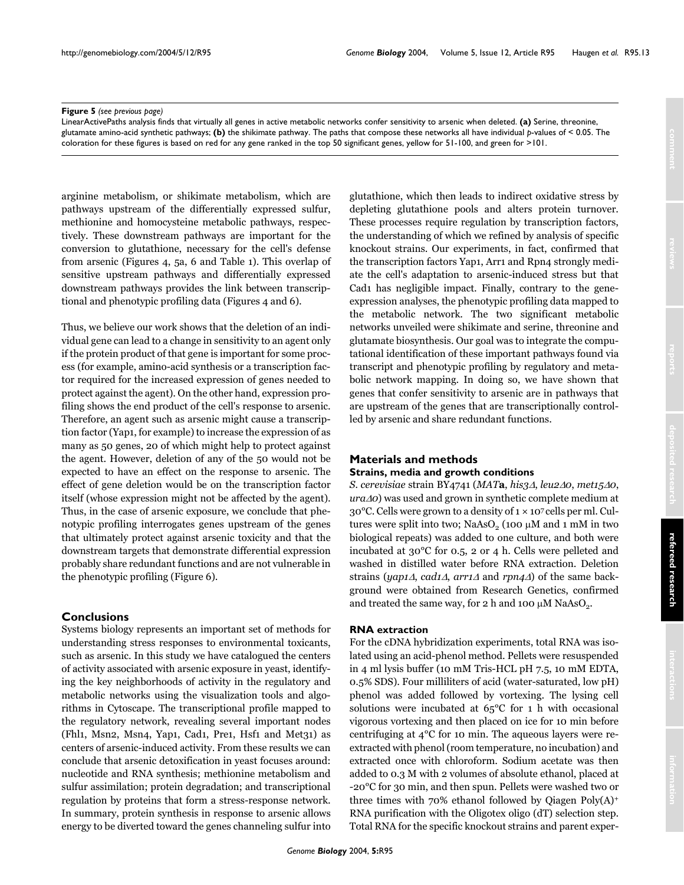#### **Figure 5** (see previous page)

LinearActivePaths analysis finds that virtually all genes in active metabolic networks confer sensitivity to arsenic when deleted. **(a)** Serine, threonine, glutamate amino-acid synthetic pathways; **(b)** the shikimate pathway. The paths that compose these networks all have individual *p*-values of < 0.05. The coloration for these figures is based on red for any gene ranked in the top 50 significant genes, yellow for 51-100, and green for >101.

arginine metabolism, or shikimate metabolism, which are pathways upstream of the differentially expressed sulfur, methionine and homocysteine metabolic pathways, respectively. These downstream pathways are important for the conversion to glutathione, necessary for the cell's defense from arsenic (Figures [4](#page-9-0), [5a](#page-11-0), 6 and Table [1](#page-2-0)). This overlap of sensitive upstream pathways and differentially expressed downstream pathways provides the link between transcriptional and phenotypic profiling data (Figures [4](#page-9-0) and 6).

Thus, we believe our work shows that the deletion of an individual gene can lead to a change in sensitivity to an agent only if the protein product of that gene is important for some process (for example, amino-acid synthesis or a transcription factor required for the increased expression of genes needed to protect against the agent). On the other hand, expression profiling shows the end product of the cell's response to arsenic. Therefore, an agent such as arsenic might cause a transcription factor (Yap1, for example) to increase the expression of as many as 50 genes, 20 of which might help to protect against the agent. However, deletion of any of the 50 would not be expected to have an effect on the response to arsenic. The effect of gene deletion would be on the transcription factor itself (whose expression might not be affected by the agent). Thus, in the case of arsenic exposure, we conclude that phenotypic profiling interrogates genes upstream of the genes that ultimately protect against arsenic toxicity and that the downstream targets that demonstrate differential expression probably share redundant functions and are not vulnerable in the phenotypic profiling (Figure 6).

# **Conclusions**

Systems biology represents an important set of methods for understanding stress responses to environmental toxicants, such as arsenic. In this study we have catalogued the centers of activity associated with arsenic exposure in yeast, identifying the key neighborhoods of activity in the regulatory and metabolic networks using the visualization tools and algorithms in Cytoscape. The transcriptional profile mapped to the regulatory network, revealing several important nodes (Fhl1, Msn2, Msn4, Yap1, Cad1, Pre1, Hsf1 and Met31) as centers of arsenic-induced activity. From these results we can conclude that arsenic detoxification in yeast focuses around: nucleotide and RNA synthesis; methionine metabolism and sulfur assimilation; protein degradation; and transcriptional regulation by proteins that form a stress-response network. In summary, protein synthesis in response to arsenic allows energy to be diverted toward the genes channeling sulfur into

glutathione, which then leads to indirect oxidative stress by depleting glutathione pools and alters protein turnover. These processes require regulation by transcription factors, the understanding of which we refined by analysis of specific knockout strains. Our experiments, in fact, confirmed that the transcription factors Yap1, Arr1 and Rpn4 strongly mediate the cell's adaptation to arsenic-induced stress but that Cad1 has negligible impact. Finally, contrary to the geneexpression analyses, the phenotypic profiling data mapped to the metabolic network. The two significant metabolic networks unveiled were shikimate and serine, threonine and glutamate biosynthesis. Our goal was to integrate the computational identification of these important pathways found via transcript and phenotypic profiling by regulatory and metabolic network mapping. In doing so, we have shown that genes that confer sensitivity to arsenic are in pathways that are upstream of the genes that are transcriptionally controlled by arsenic and share redundant functions.

# **Materials and methods**

# **Strains, media and growth conditions**

*S. cerevisiae* strain BY4741 (*MAT***a**, *his3*∆, *leu2*∆*0*, *met15*∆*0*, *ura*∆*0*) was used and grown in synthetic complete medium at 30°C. Cells were grown to a density of 1 × 107 cells per ml. Cultures were split into two; NaAsO<sub>2</sub> (100  $\mu$ M and 1 mM in two biological repeats) was added to one culture, and both were incubated at 30°C for 0.5, 2 or 4 h. Cells were pelleted and washed in distilled water before RNA extraction. Deletion strains (*yap1*∆, *cad1*∆, *arr1*<sup>∆</sup> and *rpn4*∆) of the same background were obtained from Research Genetics, confirmed and treated the same way, for 2 h and 100  $\mu$ M NaAsO<sub>2</sub>.

### **RNA extraction**

For the cDNA hybridization experiments, total RNA was isolated using an acid-phenol method. Pellets were resuspended in 4 ml lysis buffer (10 mM Tris-HCL pH 7.5, 10 mM EDTA, 0.5% SDS). Four milliliters of acid (water-saturated, low pH) phenol was added followed by vortexing. The lysing cell solutions were incubated at 65°C for 1 h with occasional vigorous vortexing and then placed on ice for 10 min before centrifuging at 4°C for 10 min. The aqueous layers were reextracted with phenol (room temperature, no incubation) and extracted once with chloroform. Sodium acetate was then added to 0.3 M with 2 volumes of absolute ethanol, placed at -20°C for 30 min, and then spun. Pellets were washed two or three times with 70% ethanol followed by Qiagen Poly(A)+ RNA purification with the Oligotex oligo (dT) selection step. Total RNA for the specific knockout strains and parent exper-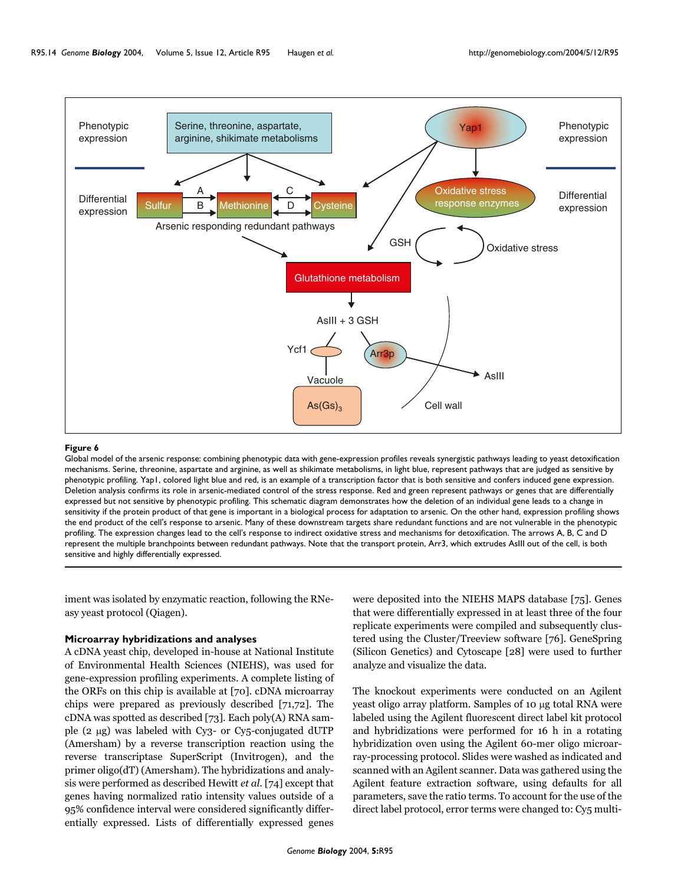

#### Figure 6

Global model of the arsenic response: combining phenotypic data with gene-expression profiles reveals synergistic pathways leading to yeast detoxification mechanisms. Serine, threonine, aspartate and arginine, as well as shikimate metabolisms, in light blue, represent pathways that are judged as sensitive by phenotypic profiling. Yap1, colored light blue and red, is an example of a transcription factor that is both sensitive and confers induced gene expression. Deletion analysis confirms its role in arsenic-mediated control of the stress response. Red and green represent pathways or genes that are differentially expressed but not sensitive by phenotypic profiling. This schematic diagram demonstrates how the deletion of an individual gene leads to a change in sensitivity if the protein product of that gene is important in a biological process for adaptation to arsenic. On the other hand, expression profiling shows the end product of the cell's response to arsenic. Many of these downstream targets share redundant functions and are not vulnerable in the phenotypic profiling. The expression changes lead to the cell's response to indirect oxidative stress and mechanisms for detoxification. The arrows A, B, C and D represent the multiple branchpoints between redundant pathways. Note that the transport protein, Arr3, which extrudes AsIII out of the cell, is both sensitive and highly differentially expressed.

iment was isolated by enzymatic reaction, following the RNeasy yeast protocol (Qiagen).

### **Microarray hybridizations and analyses**

A cDNA yeast chip, developed in-house at National Institute of Environmental Health Sciences (NIEHS), was used for gene-expression profiling experiments. A complete listing of the ORFs on this chip is available at [70]. cDNA microarray chips were prepared as previously described [71,72]. The cDNA was spotted as described [73]. Each poly(A) RNA sample (2 µg) was labeled with Cy3- or Cy5-conjugated dUTP (Amersham) by a reverse transcription reaction using the reverse transcriptase SuperScript (Invitrogen), and the primer oligo(dT) (Amersham). The hybridizations and analysis were performed as described Hewitt *et al*. [74] except that genes having normalized ratio intensity values outside of a 95% confidence interval were considered significantly differentially expressed. Lists of differentially expressed genes

were deposited into the NIEHS MAPS database [75]. Genes that were differentially expressed in at least three of the four replicate experiments were compiled and subsequently clustered using the Cluster/Treeview software [76]. GeneSpring (Silicon Genetics) and Cytoscape [28] were used to further analyze and visualize the data.

The knockout experiments were conducted on an Agilent yeast oligo array platform. Samples of 10 µg total RNA were labeled using the Agilent fluorescent direct label kit protocol and hybridizations were performed for 16 h in a rotating hybridization oven using the Agilent 60-mer oligo microarray-processing protocol. Slides were washed as indicated and scanned with an Agilent scanner. Data was gathered using the Agilent feature extraction software, using defaults for all parameters, save the ratio terms. To account for the use of the direct label protocol, error terms were changed to: Cy5 multi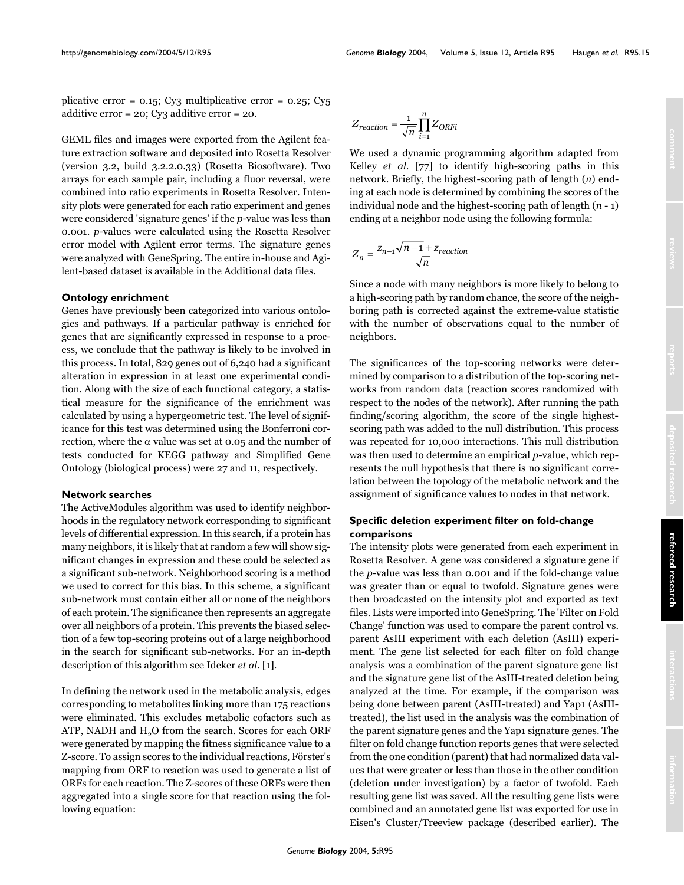plicative error =  $0.15$ ; Cy<sub>3</sub> multiplicative error =  $0.25$ ; Cy<sub>5</sub> additive error = 20; Cy3 additive error = 20.

GEML files and images were exported from the Agilent feature extraction software and deposited into Rosetta Resolver (version 3.2, build 3.2.2.0.33) (Rosetta Biosoftware). Two arrays for each sample pair, including a fluor reversal, were combined into ratio experiments in Rosetta Resolver. Intensity plots were generated for each ratio experiment and genes were considered 'signature genes' if the *p*-value was less than 0.001. *p*-values were calculated using the Rosetta Resolver error model with Agilent error terms. The signature genes were analyzed with GeneSpring. The entire in-house and Agilent-based dataset is available in the Additional data files.

#### **Ontology enrichment**

Genes have previously been categorized into various ontologies and pathways. If a particular pathway is enriched for genes that are significantly expressed in response to a process, we conclude that the pathway is likely to be involved in this process. In total, 829 genes out of 6,240 had a significant alteration in expression in at least one experimental condition. Along with the size of each functional category, a statistical measure for the significance of the enrichment was calculated by using a hypergeometric test. The level of significance for this test was determined using the Bonferroni correction, where the  $\alpha$  value was set at 0.05 and the number of tests conducted for KEGG pathway and Simplified Gene Ontology (biological process) were 27 and 11, respectively.

#### **Network searches**

The ActiveModules algorithm was used to identify neighborhoods in the regulatory network corresponding to significant levels of differential expression. In this search, if a protein has many neighbors, it is likely that at random a few will show significant changes in expression and these could be selected as a significant sub-network. Neighborhood scoring is a method we used to correct for this bias. In this scheme, a significant sub-network must contain either all or none of the neighbors of each protein. The significance then represents an aggregate over all neighbors of a protein. This prevents the biased selection of a few top-scoring proteins out of a large neighborhood in the search for significant sub-networks. For an in-depth description of this algorithm see Ideker *et al*. [1].

In defining the network used in the metabolic analysis, edges corresponding to metabolites linking more than 175 reactions were eliminated. This excludes metabolic cofactors such as ATP, NADH and H<sub>2</sub>O from the search. Scores for each ORF were generated by mapping the fitness significance value to a Z-score. To assign scores to the individual reactions, Förster's mapping from ORF to reaction was used to generate a list of ORFs for each reaction. The Z-scores of these ORFs were then aggregated into a single score for that reaction using the following equation:

$$
Z_{reaction} = \frac{1}{\sqrt{n}} \prod_{i=1}^{n} Z_{ORFi}
$$

We used a dynamic programming algorithm adapted from Kelley *et al*. [77] to identify high-scoring paths in this network. Briefly, the highest-scoring path of length (*n*) ending at each node is determined by combining the scores of the individual node and the highest-scoring path of length (*n* - 1) ending at a neighbor node using the following formula:

$$
Z_n = \frac{Z_{n-1}\sqrt{n-1} + Z_{reaction}}{\sqrt{n}}
$$

Since a node with many neighbors is more likely to belong to a high-scoring path by random chance, the score of the neighboring path is corrected against the extreme-value statistic with the number of observations equal to the number of neighbors.

The significances of the top-scoring networks were determined by comparison to a distribution of the top-scoring networks from random data (reaction scores randomized with respect to the nodes of the network). After running the path finding/scoring algorithm, the score of the single highestscoring path was added to the null distribution. This process was repeated for 10,000 interactions. This null distribution was then used to determine an empirical *p*-value, which represents the null hypothesis that there is no significant correlation between the topology of the metabolic network and the assignment of significance values to nodes in that network.

# **Specific deletion experiment filter on fold-change comparisons**

The intensity plots were generated from each experiment in Rosetta Resolver. A gene was considered a signature gene if the *p*-value was less than 0.001 and if the fold-change value was greater than or equal to twofold. Signature genes were then broadcasted on the intensity plot and exported as text files. Lists were imported into GeneSpring. The 'Filter on Fold Change' function was used to compare the parent control vs. parent AsIII experiment with each deletion (AsIII) experiment. The gene list selected for each filter on fold change analysis was a combination of the parent signature gene list and the signature gene list of the AsIII-treated deletion being analyzed at the time. For example, if the comparison was being done between parent (AsIII-treated) and Yap1 (AsIIItreated), the list used in the analysis was the combination of the parent signature genes and the Yap1 signature genes. The filter on fold change function reports genes that were selected from the one condition (parent) that had normalized data values that were greater or less than those in the other condition (deletion under investigation) by a factor of twofold. Each resulting gene list was saved. All the resulting gene lists were combined and an annotated gene list was exported for use in Eisen's Cluster/Treeview package (described earlier). The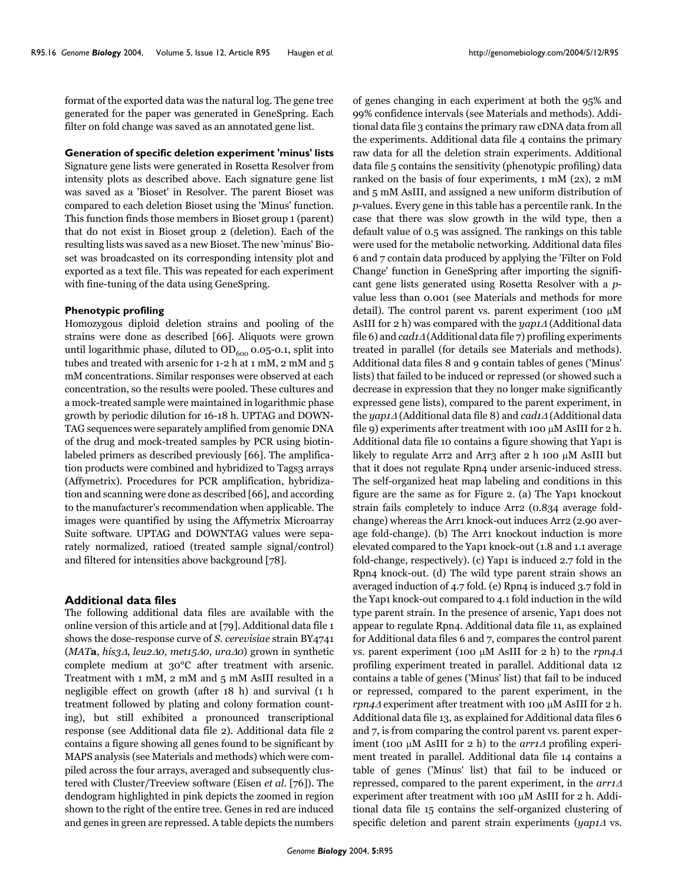format of the exported data was the natural log. The gene tree generated for the paper was generated in GeneSpring. Each filter on fold change was saved as an annotated gene list.

## **Generation of specific deletion experiment 'minus' lists**

Signature gene lists were generated in Rosetta Resolver from intensity plots as described above. Each signature gene list was saved as a 'Bioset' in Resolver. The parent Bioset was compared to each deletion Bioset using the 'Minus' function. This function finds those members in Bioset group 1 (parent) that do not exist in Bioset group 2 (deletion). Each of the resulting lists was saved as a new Bioset. The new 'minus' Bioset was broadcasted on its corresponding intensity plot and exported as a text file. This was repeated for each experiment with fine-tuning of the data using GeneSpring.

#### **Phenotypic profiling**

Homozygous diploid deletion strains and pooling of the strains were done as described [66]. Aliquots were grown until logarithmic phase, diluted to  $OD_{600}$  0.05-0.1, split into tubes and treated with arsenic for 1-2 h at 1 mM, 2 mM and 5 mM concentrations. Similar responses were observed at each concentration, so the results were pooled. These cultures and a mock-treated sample were maintained in logarithmic phase growth by periodic dilution for 16-18 h. UPTAG and DOWN-TAG sequences were separately amplified from genomic DNA of the drug and mock-treated samples by PCR using biotinlabeled primers as described previously [66]. The amplification products were combined and hybridized to Tags3 arrays (Affymetrix). Procedures for PCR amplification, hybridization and scanning were done as described [66], and according to the manufacturer's recommendation when applicable. The images were quantified by using the Affymetrix Microarray Suite software. UPTAG and DOWNTAG values were separately normalized, ratioed (treated sample signal/control) and filtered for intensities above background [78].

#### **Additional data files**

The following additional data files are available with the online version of this article and at [79]. Additional data file 1 shows the dose-response curve of *S. cerevisiae* strain BY4741 (*MAT***a**, *his3*∆, *leu2*∆*0*, *met15*∆*0*, *ura*∆*0*) grown in synthetic complete medium at 30°C after treatment with arsenic. Treatment with 1 mM, 2 mM and 5 mM AsIII resulted in a negligible effect on growth (after 18 h) and survival (1 h treatment followed by plating and colony formation counting), but still exhibited a pronounced transcriptional response (see Additional data file 2). Additional data file 2 contains a figure showing all genes found to be significant by MAPS analysis (see Materials and methods) which were compiled across the four arrays, averaged and subsequently clustered with Cluster/Treeview software (Eisen *et al.* [76]). The dendogram highlighted in pink depicts the zoomed in region shown to the right of the entire tree. Genes in red are induced and genes in green are repressed. A table depicts the numbers

of genes changing in each experiment at both the 95% and 99% confidence intervals (see Materials and methods). Additional data file 3 contains the primary raw cDNA data from all the experiments. Additional data file 4 contains the primary raw data for all the deletion strain experiments. Additional data file 5 contains the sensitivity (phenotypic profiling) data ranked on the basis of four experiments, 1 mM (2x), 2 mM and 5 mM AsIII, and assigned a new uniform distribution of *p*-values. Every gene in this table has a percentile rank. In the case that there was slow growth in the wild type, then a default value of 0.5 was assigned. The rankings on this table were used for the metabolic networking. Additional data files 6 and 7 contain data produced by applying the 'Filter on Fold Change' function in GeneSpring after importing the significant gene lists generated using Rosetta Resolver with a *p*value less than 0.001 (see Materials and methods for more detail). The control parent vs. parent experiment (100  $\mu$ M AsIII for 2 h) was compared with the *yap1*<sup>∆</sup> (Additional data file 6) and *cad1*<sup>∆</sup> (Additional data file 7) profiling experiments treated in parallel (for details see Materials and methods). Additional data files 8 and 9 contain tables of genes ('Minus' lists) that failed to be induced or repressed (or showed such a decrease in expression that they no longer make significantly expressed gene lists), compared to the parent experiment, in the *yap1*<sup>∆</sup> (Additional data file 8) and *cad1*<sup>∆</sup> (Additional data file 9) experiments after treatment with 100  $\mu$ M AsIII for 2 h. Additional data file 10 contains a figure showing that Yap1 is likely to regulate Arr2 and Arr3 after 2 h 100 µM AsIII but that it does not regulate Rpn4 under arsenic-induced stress. The self-organized heat map labeling and conditions in this figure are the same as for Figure [2.](#page-6-0) (a) The Yap1 knockout strain fails completely to induce Arr2 (0.834 average foldchange) whereas the Arr1 knock-out induces Arr2 (2.90 average fold-change). (b) The Arr1 knockout induction is more elevated compared to the Yap1 knock-out (1.8 and 1.1 average fold-change, respectively). (c) Yap1 is induced 2.7 fold in the Rpn4 knock-out. (d) The wild type parent strain shows an averaged induction of 4.7 fold. (e) Rpn4 is induced 3.7 fold in the Yap1 knock-out compared to 4.1 fold induction in the wild type parent strain. In the presence of arsenic, Yap1 does not appear to regulate Rpn4. Additional data file 11, as explained for Additional data files 6 and 7, compares the control parent vs. parent experiment (100 µM AsIII for 2 h) to the *rpn4*<sup>∆</sup> profiling experiment treated in parallel. Additional data 12 contains a table of genes ('Minus' list) that fail to be induced or repressed, compared to the parent experiment, in the *rpn4*<sup>∆</sup> experiment after treatment with 100 µM AsIII for 2 h. Additional data file 13, as explained for Additional data files 6 and 7, is from comparing the control parent vs. parent experiment (100 µM AsIII for 2 h) to the *arr1*<sup>∆</sup> profiling experiment treated in parallel. Additional data file 14 contains a table of genes ('Minus' list) that fail to be induced or repressed, compared to the parent experiment, in the *arr1*<sup>∆</sup> experiment after treatment with 100  $\mu$ M AsIII for 2 h. Additional data file 15 contains the self-organized clustering of specific deletion and parent strain experiments (*yap1*<sup>∆</sup> vs.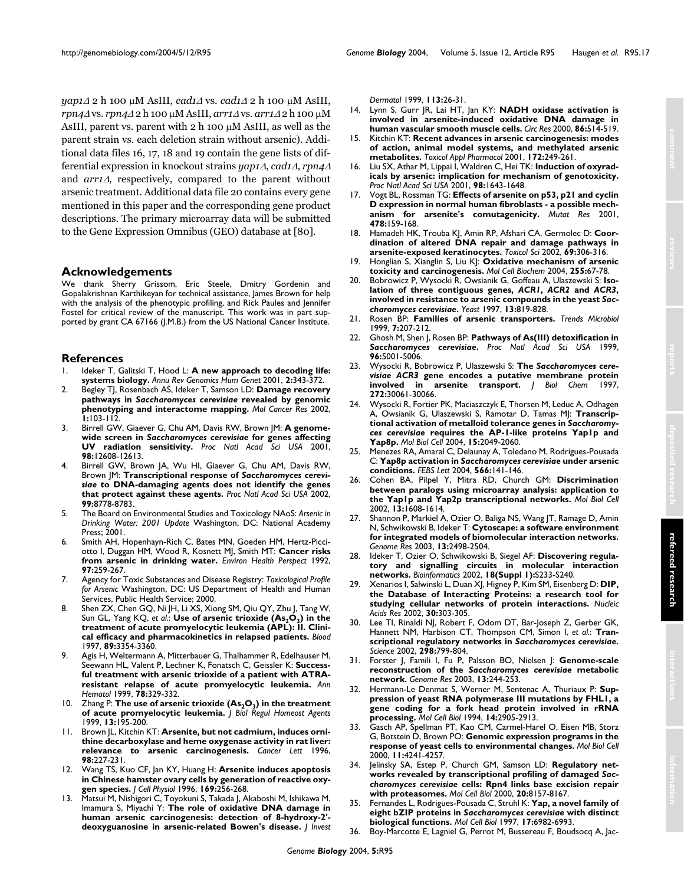*yap1*<sup>∆</sup> 2 h 100 µM AsIII, *cad1*<sup>∆</sup> vs. *cad1*<sup>∆</sup> 2 h 100 µM AsIII, *rpn4*<sup>∆</sup> vs. *rpn4*<sup>∆</sup> 2 h 100 µM AsIII, *arr1*<sup>∆</sup> vs. *arr1*<sup>∆</sup> 2 h 100 µM AsIII, parent vs. parent with  $2 h 100 \mu M$  AsIII, as well as the parent strain vs. each deletion strain without arsenic). Additional data files 16, 17, 18 and 19 contain the gene lists of differential expression in knockout strains *yap1*∆, *cad1*∆, *rpn4*<sup>∆</sup> and *arr1*∆, respectively, compared to the parent without arsenic treatment. Additional data file 20 contains every gene mentioned in this paper and the corresponding gene product descriptions. The primary microarray data will be submitted to the Gene Expression Omnibus (GEO) database at [80].

# **Acknowledgements**

We thank Sherry Grissom, Eric Steele, Dmitry Gordenin and Gopalakrishnan Karthikeyan for technical assistance, James Brown for help with the analysis of the phenotypic profiling, and Rick Paules and Jennifer Fostel for critical review of the manuscript. This work was in part supported by grant CA 67166 (J.M.B.) from the US National Cancer Institute.

# **References**

- Ideker T, Galitski T, Hood L: [A new approach to decoding life:](http://www.ncbi.nlm.nih.gov/entrez/query.fcgi?cmd=Retrieve&db=PubMed&dopt=Abstract&list_uids=11701654) **[systems biology.](http://www.ncbi.nlm.nih.gov/entrez/query.fcgi?cmd=Retrieve&db=PubMed&dopt=Abstract&list_uids=11701654)** *Annu Rev Genomics Hum Genet* 2001, **2:**343-372.
- <span id="page-16-0"></span>2. Begley TJ, Rosenbach AS, Ideker T, Samson LD: **Damage recovery pathways in** *Saccharomyces cerevisiae* **[revealed by genomic](http://www.ncbi.nlm.nih.gov/entrez/query.fcgi?cmd=Retrieve&db=PubMed&dopt=Abstract&list_uids=12496357) [phenotyping and interactome mapping.](http://www.ncbi.nlm.nih.gov/entrez/query.fcgi?cmd=Retrieve&db=PubMed&dopt=Abstract&list_uids=12496357)** *Mol Cancer Res* 2002, **1:**103-112.
- Birrell GW, Giaever G, Chu AM, Davis RW, Brown JM: A genome**wide screen in** *Saccharomyces cerevisiae* **[for genes affecting](http://www.ncbi.nlm.nih.gov/entrez/query.fcgi?cmd=Retrieve&db=PubMed&dopt=Abstract&list_uids=11606770) [UV radiation sensitivity.](http://www.ncbi.nlm.nih.gov/entrez/query.fcgi?cmd=Retrieve&db=PubMed&dopt=Abstract&list_uids=11606770)** *Proc Natl Acad Sci USA* 2001, **98:**12608-12613.
- Birrell GW, Brown JA, Wu HI, Giaever G, Chu AM, Davis RW, Brown JM: **Transcriptional response of** *Saccharomyces cerevisiae* **[to DNA-damaging agents does not identify the genes](http://www.ncbi.nlm.nih.gov/entrez/query.fcgi?cmd=Retrieve&db=PubMed&dopt=Abstract&list_uids=12077312) [that protect against these agents.](http://www.ncbi.nlm.nih.gov/entrez/query.fcgi?cmd=Retrieve&db=PubMed&dopt=Abstract&list_uids=12077312)** *Proc Natl Acad Sci USA* 2002, **99:**8778-8783.
- 5. The Board on Environmental Studies and Toxicology NAoS: *Arsenic in Drinking Water: 2001 Update* Washington, DC: National Academy Press; 2001.
- 6. Smith AH, Hopenhayn-Rich C, Bates MN, Goeden HM, Hertz-Picciotto I, Duggan HM, Wood R, Kosnett MJ, Smith MT: **[Cancer risks](http://www.ncbi.nlm.nih.gov/entrez/query.fcgi?cmd=Retrieve&db=PubMed&dopt=Abstract&list_uids=1396465) [from arsenic in drinking water.](http://www.ncbi.nlm.nih.gov/entrez/query.fcgi?cmd=Retrieve&db=PubMed&dopt=Abstract&list_uids=1396465)** *Environ Health Perspect* 1992, **97:**259-267.
- 7. Agency for Toxic Substances and Disease Registry: *Toxicological Profile for Arsenic* Washington, DC: US Department of Health and Human Services, Public Health Service; 2000.
- <span id="page-16-1"></span>8. Shen ZX, Chen GQ, Ni JH, Li XS, Xiong SM, Qiu QY, Zhu J, Tang W, Sun GL, Yang KQ, et al.: Use of arsenic trioxide (As<sub>2</sub>O<sub>3</sub>[\) in the](http://www.ncbi.nlm.nih.gov/entrez/query.fcgi?cmd=Retrieve&db=PubMed&dopt=Abstract&list_uids=9129042) **[treatment of acute promyelocytic leukemia \(APL\): II. Clini](http://www.ncbi.nlm.nih.gov/entrez/query.fcgi?cmd=Retrieve&db=PubMed&dopt=Abstract&list_uids=9129042)[cal efficacy and pharmacokinetics in relapsed patients.](http://www.ncbi.nlm.nih.gov/entrez/query.fcgi?cmd=Retrieve&db=PubMed&dopt=Abstract&list_uids=9129042)** *Blood* 1997, **89:**3354-3360.
- 9. Agis H, Weltermann A, Mitterbauer G, Thalhammer R, Edelhauser M, Seewann HL, Valent P, Lechner K, Fonatsch C, Geissler K: **[Success](http://www.ncbi.nlm.nih.gov/entrez/query.fcgi?cmd=Retrieve&db=PubMed&dopt=Abstract&list_uids=10466445)[ful treatment with arsenic trioxide of a patient with ATRA](http://www.ncbi.nlm.nih.gov/entrez/query.fcgi?cmd=Retrieve&db=PubMed&dopt=Abstract&list_uids=10466445)[resistant relapse of acute promyelocytic leukemia.](http://www.ncbi.nlm.nih.gov/entrez/query.fcgi?cmd=Retrieve&db=PubMed&dopt=Abstract&list_uids=10466445)** *Ann Hematol* 1999, **78:**329-332.
- <span id="page-16-2"></span>10. Zhang P: **The use of arsenic trioxide (As<sub>2</sub>O<sub>3</sub>) in the treatment [of acute promyelocytic leukemia.](http://www.ncbi.nlm.nih.gov/entrez/query.fcgi?cmd=Retrieve&db=PubMed&dopt=Abstract&list_uids=10703942)** *J Biol Regul Homeost Agents* 1999, **13:**195-200.
- 11. Brown JL, Kitchin KT: **[Arsenite, but not cadmium, induces orni](http://www.ncbi.nlm.nih.gov/entrez/query.fcgi?cmd=Retrieve&db=PubMed&dopt=Abstract&list_uids=8556713)[thine decarboxylase and heme oxygenase activity in rat liver:](http://www.ncbi.nlm.nih.gov/entrez/query.fcgi?cmd=Retrieve&db=PubMed&dopt=Abstract&list_uids=8556713) [relevance to arsenic carcinogenesis.](http://www.ncbi.nlm.nih.gov/entrez/query.fcgi?cmd=Retrieve&db=PubMed&dopt=Abstract&list_uids=8556713)** *Cancer Lett* 1996, **98:**227-231.
- 12. Wang TS, Kuo CF, Jan KY, Huang H: **[Arsenite induces apoptosis](http://www.ncbi.nlm.nih.gov/entrez/query.fcgi?cmd=Retrieve&db=PubMed&dopt=Abstract&list_uids=8908193) [in Chinese hamster ovary cells by generation of reactive oxy](http://www.ncbi.nlm.nih.gov/entrez/query.fcgi?cmd=Retrieve&db=PubMed&dopt=Abstract&list_uids=8908193)[gen species.](http://www.ncbi.nlm.nih.gov/entrez/query.fcgi?cmd=Retrieve&db=PubMed&dopt=Abstract&list_uids=8908193)** *J Cell Physiol* 1996, **169:**256-268.
- 13. Matsui M, Nishigori C, Toyokuni S, Takada J, Akaboshi M, Ishikawa M, Imamura S, Miyachi Y: **[The role of oxidative DNA damage in](http://www.ncbi.nlm.nih.gov/entrez/query.fcgi?cmd=Retrieve&db=PubMed&dopt=Abstract&list_uids=10417614) [human arsenic carcinogenesis: detection of 8-hydroxy-2'](http://www.ncbi.nlm.nih.gov/entrez/query.fcgi?cmd=Retrieve&db=PubMed&dopt=Abstract&list_uids=10417614) [deoxyguanosine in arsenic-related Bowen's disease.](http://www.ncbi.nlm.nih.gov/entrez/query.fcgi?cmd=Retrieve&db=PubMed&dopt=Abstract&list_uids=10417614)** *J Invest*

*Dermatol* 1999, **113:**26-31.

- 14. Lynn S, Gurr JR, Lai HT, Jan KY: **[NADH oxidase activation is](http://www.ncbi.nlm.nih.gov/entrez/query.fcgi?cmd=Retrieve&db=PubMed&dopt=Abstract&list_uids=10720412) [involved in arsenite-induced oxidative DNA damage in](http://www.ncbi.nlm.nih.gov/entrez/query.fcgi?cmd=Retrieve&db=PubMed&dopt=Abstract&list_uids=10720412) [human vascular smooth muscle cells.](http://www.ncbi.nlm.nih.gov/entrez/query.fcgi?cmd=Retrieve&db=PubMed&dopt=Abstract&list_uids=10720412)** *Circ Res* 2000, **86:**514-519.
- 15. Kitchin KT: **[Recent advances in arsenic carcinogenesis: modes](http://www.ncbi.nlm.nih.gov/entrez/query.fcgi?cmd=Retrieve&db=PubMed&dopt=Abstract&list_uids=11312654) [of action, animal model systems, and methylated arsenic](http://www.ncbi.nlm.nih.gov/entrez/query.fcgi?cmd=Retrieve&db=PubMed&dopt=Abstract&list_uids=11312654) [metabolites.](http://www.ncbi.nlm.nih.gov/entrez/query.fcgi?cmd=Retrieve&db=PubMed&dopt=Abstract&list_uids=11312654)** *Toxicol Appl Pharmacol* 2001, **172:**249-261.
- 16. Liu SX, Athar M, Lippai I, Waldren C, Hei TK: **[Induction of oxyrad](http://www.ncbi.nlm.nih.gov/entrez/query.fcgi?cmd=Retrieve&db=PubMed&dopt=Abstract&list_uids=11172004)[icals by arsenic: implication for mechanism of genotoxicity.](http://www.ncbi.nlm.nih.gov/entrez/query.fcgi?cmd=Retrieve&db=PubMed&dopt=Abstract&list_uids=11172004)** *Proc Natl Acad Sci USA* 2001, **98:**1643-1648.
- 17. Vogt BL, Rossman TG: **[Effects of arsenite on p53, p21 and cyclin](http://www.ncbi.nlm.nih.gov/entrez/query.fcgi?cmd=Retrieve&db=PubMed&dopt=Abstract&list_uids=11406180) [D expression in normal human fibroblasts - a possible mech](http://www.ncbi.nlm.nih.gov/entrez/query.fcgi?cmd=Retrieve&db=PubMed&dopt=Abstract&list_uids=11406180)[anism for arsenite's comutagenicity.](http://www.ncbi.nlm.nih.gov/entrez/query.fcgi?cmd=Retrieve&db=PubMed&dopt=Abstract&list_uids=11406180)** *Mutat Res* 2001, **478:**159-168.
- 18. Hamadeh HK, Trouba KJ, Amin RP, Afshari CA, Germolec D: [Coor](http://www.ncbi.nlm.nih.gov/entrez/query.fcgi?cmd=Retrieve&db=PubMed&dopt=Abstract&list_uids=12377979)**[dination of altered DNA repair and damage pathways in](http://www.ncbi.nlm.nih.gov/entrez/query.fcgi?cmd=Retrieve&db=PubMed&dopt=Abstract&list_uids=12377979) [arsenite-exposed keratinocytes.](http://www.ncbi.nlm.nih.gov/entrez/query.fcgi?cmd=Retrieve&db=PubMed&dopt=Abstract&list_uids=12377979)** *Toxicol Sci* 2002, **69:**306-316.
- 19. Honglian S, Xianglin S, Liu KJ: **[Oxidative mechanism of arsenic](http://www.ncbi.nlm.nih.gov/entrez/query.fcgi?cmd=Retrieve&db=PubMed&dopt=Abstract&list_uids=14971647) [toxicity and carcinogenesis.](http://www.ncbi.nlm.nih.gov/entrez/query.fcgi?cmd=Retrieve&db=PubMed&dopt=Abstract&list_uids=14971647)** *Mol Cell Biochem* 2004, **255:**67-78.
- 20. Bobrowicz P, Wysocki R, Owsianik G, Goffeau A, Ulaszewski S: **Isolation of three contiguous genes,** *ACR1***,** *ACR2* **and** *ACR3***, involved in resistance to arsenic compounds in the yeast** *Saccharomyces cerevisiae***[.](http://www.ncbi.nlm.nih.gov/entrez/query.fcgi?cmd=Retrieve&db=PubMed&dopt=Abstract&list_uids=9234670)** *Yeast* 1997, **13:**819-828.
- 21. Rosen BP: **[Families of arsenic transporters.](http://www.ncbi.nlm.nih.gov/entrez/query.fcgi?cmd=Retrieve&db=PubMed&dopt=Abstract&list_uids=10354596)** *Trends Microbiol* 1999, **7:**207-212.
- 22. Ghosh M, Shen J, Rosen BP: **Pathways of As(III) detoxification in** *Saccharomyces cerevisiae***[.](http://www.ncbi.nlm.nih.gov/entrez/query.fcgi?cmd=Retrieve&db=PubMed&dopt=Abstract&list_uids=10220408)** *Proc Natl Acad Sci USA* 1999, **96:**5001-5006.
- 23. Wysocki R, Bobrowicz P, Ulaszewski S: **The** *Saccharomyces cerevisiae ACR3* **[gene encodes a putative membrane protein](http://www.ncbi.nlm.nih.gov/entrez/query.fcgi?cmd=Retrieve&db=PubMed&dopt=Abstract&list_uids=9374482) [involved in arsenite transport.](http://www.ncbi.nlm.nih.gov/entrez/query.fcgi?cmd=Retrieve&db=PubMed&dopt=Abstract&list_uids=9374482)** *J* Biol Chem **272:**30061-30066.
- 24. Wysocki R, Fortier PK, Maciaszczyk E, Thorsen M, Leduc A, Odhagen A, Owsianik G, Ulaszewski S, Ramotar D, Tamas MJ: **Transcriptional activation of metalloid tolerance genes in** *Saccharomyces cerevisiae* **[requires the AP-1-like proteins Yap1p and](http://www.ncbi.nlm.nih.gov/entrez/query.fcgi?cmd=Retrieve&db=PubMed&dopt=Abstract&list_uids=14978214) [Yap8p.](http://www.ncbi.nlm.nih.gov/entrez/query.fcgi?cmd=Retrieve&db=PubMed&dopt=Abstract&list_uids=14978214)** *Mol Biol Cell* 2004, **15:**2049-2060.
- 25. Menezes RA, Amaral C, Delaunay A, Toledano M, Rodrigues-Pousada C: **Yap8p activation in** *Saccharomyces cerevisiae* **[under arsenic](http://www.ncbi.nlm.nih.gov/entrez/query.fcgi?cmd=Retrieve&db=PubMed&dopt=Abstract&list_uids=15147884) [conditions.](http://www.ncbi.nlm.nih.gov/entrez/query.fcgi?cmd=Retrieve&db=PubMed&dopt=Abstract&list_uids=15147884)** *FEBS Lett* 2004, **566:**141-146.
- 26. Cohen BA, Pilpel Y, Mitra RD, Church GM: **[Discrimination](http://www.ncbi.nlm.nih.gov/entrez/query.fcgi?cmd=Retrieve&db=PubMed&dopt=Abstract&list_uids=12006656) [between paralogs using microarray analysis: application to](http://www.ncbi.nlm.nih.gov/entrez/query.fcgi?cmd=Retrieve&db=PubMed&dopt=Abstract&list_uids=12006656) [the Yap1p and Yap2p transcriptional networks.](http://www.ncbi.nlm.nih.gov/entrez/query.fcgi?cmd=Retrieve&db=PubMed&dopt=Abstract&list_uids=12006656)** *Mol Biol Cell* 2002, **13:**1608-1614.
- 27. Shannon P, Markiel A, Ozier O, Baliga NS, Wang JT, Ramage D, Amin N, Schwikowski B, Ideker T: **[Cytoscape: a software environment](http://www.ncbi.nlm.nih.gov/entrez/query.fcgi?cmd=Retrieve&db=PubMed&dopt=Abstract&list_uids=14597658) [for integrated models of biomolecular interaction networks.](http://www.ncbi.nlm.nih.gov/entrez/query.fcgi?cmd=Retrieve&db=PubMed&dopt=Abstract&list_uids=14597658)** *Genome Res* 2003, **13:**2498-2504.
- 28. Ideker T, Ozier O, Schwikowski B, Siegel AF: **[Discovering regula](http://www.ncbi.nlm.nih.gov/entrez/query.fcgi?cmd=Retrieve&db=PubMed&dopt=Abstract&list_uids=12169552)[tory and signalling circuits in molecular interaction](http://www.ncbi.nlm.nih.gov/entrez/query.fcgi?cmd=Retrieve&db=PubMed&dopt=Abstract&list_uids=12169552) [networks.](http://www.ncbi.nlm.nih.gov/entrez/query.fcgi?cmd=Retrieve&db=PubMed&dopt=Abstract&list_uids=12169552)** *Bioinformatics* 2002, **18(Suppl 1):**S233-S240.
- 29. Xenarios I, Salwinski L, Duan XJ, Higney P, Kim SM, Eisenberg D: **[DIP,](http://www.ncbi.nlm.nih.gov/entrez/query.fcgi?cmd=Retrieve&db=PubMed&dopt=Abstract&list_uids=11752321) [the Database of Interacting Proteins: a research tool for](http://www.ncbi.nlm.nih.gov/entrez/query.fcgi?cmd=Retrieve&db=PubMed&dopt=Abstract&list_uids=11752321) [studying cellular networks of protein interactions.](http://www.ncbi.nlm.nih.gov/entrez/query.fcgi?cmd=Retrieve&db=PubMed&dopt=Abstract&list_uids=11752321)** *Nucleic Acids Res* 2002, **30:**303-305.
- 30. Lee TI, Rinaldi NJ, Robert F, Odom DT, Bar-Joseph Z, Gerber GK, Hannett NM, Harbison CT, Thompson CM, Simon I, *et al.*: **Transcriptional regulatory networks in** *Saccharomyces cerevisiae***[.](http://www.ncbi.nlm.nih.gov/entrez/query.fcgi?cmd=Retrieve&db=PubMed&dopt=Abstract&list_uids=12399584)** *Science* 2002, **298:**799-804.
- 31. Forster J, Famili I, Fu P, Palsson BO, Nielsen J: **Genome-scale reconstruction of the** *Saccharomyces cerevisiae* **[metabolic](http://www.ncbi.nlm.nih.gov/entrez/query.fcgi?cmd=Retrieve&db=PubMed&dopt=Abstract&list_uids=12566402) [network.](http://www.ncbi.nlm.nih.gov/entrez/query.fcgi?cmd=Retrieve&db=PubMed&dopt=Abstract&list_uids=12566402)** *Genome Res* 2003, **13:**244-253.
- 32. Hermann-Le Denmat S, Werner M, Sentenac A, Thuriaux P: **[Sup](http://www.ncbi.nlm.nih.gov/entrez/query.fcgi?cmd=Retrieve&db=PubMed&dopt=Abstract&list_uids=8164651)[pression of yeast RNA polymerase III mutations by FHL1, a](http://www.ncbi.nlm.nih.gov/entrez/query.fcgi?cmd=Retrieve&db=PubMed&dopt=Abstract&list_uids=8164651) gene coding for a fork head protein involved in rRNA [processing.](http://www.ncbi.nlm.nih.gov/entrez/query.fcgi?cmd=Retrieve&db=PubMed&dopt=Abstract&list_uids=8164651)** *Mol Cell Biol* 1994, **14:**2905-2913.
- 33. Gasch AP, Spellman PT, Kao CM, Carmel-Harel O, Eisen MB, Storz G, Botstein D, Brown PO: **[Genomic expression programs in the](http://www.ncbi.nlm.nih.gov/entrez/query.fcgi?cmd=Retrieve&db=PubMed&dopt=Abstract&list_uids=11102521) [response of yeast cells to environmental changes.](http://www.ncbi.nlm.nih.gov/entrez/query.fcgi?cmd=Retrieve&db=PubMed&dopt=Abstract&list_uids=11102521)** *Mol Biol Cell* 2000, **11:**4241-4257.
- 34. Jelinsky SA, Estep P, Church GM, Samson LD: **Regulatory networks revealed by transcriptional profiling of damaged** *Saccharomyces cerevisiae* **[cells: Rpn4 links base excision repair](http://www.ncbi.nlm.nih.gov/entrez/query.fcgi?cmd=Retrieve&db=PubMed&dopt=Abstract&list_uids=11027285) [with proteasomes.](http://www.ncbi.nlm.nih.gov/entrez/query.fcgi?cmd=Retrieve&db=PubMed&dopt=Abstract&list_uids=11027285)** *Mol Cell Biol* 2000, **20:**8157-8167.
- 35. Fernandes L, Rodrigues-Pousada C, Struhl K: **Yap, a novel family of eight bZIP proteins in** *Saccharomyces cerevisiae* **[with distinct](http://www.ncbi.nlm.nih.gov/entrez/query.fcgi?cmd=Retrieve&db=PubMed&dopt=Abstract&list_uids=9372930) [biological functions.](http://www.ncbi.nlm.nih.gov/entrez/query.fcgi?cmd=Retrieve&db=PubMed&dopt=Abstract&list_uids=9372930)** *Mol Cell Biol* 1997, **17:**6982-6993.
- Boy-Marcotte E, Lagniel G, Perrot M, Bussereau F, Boudsocq A, Jac-